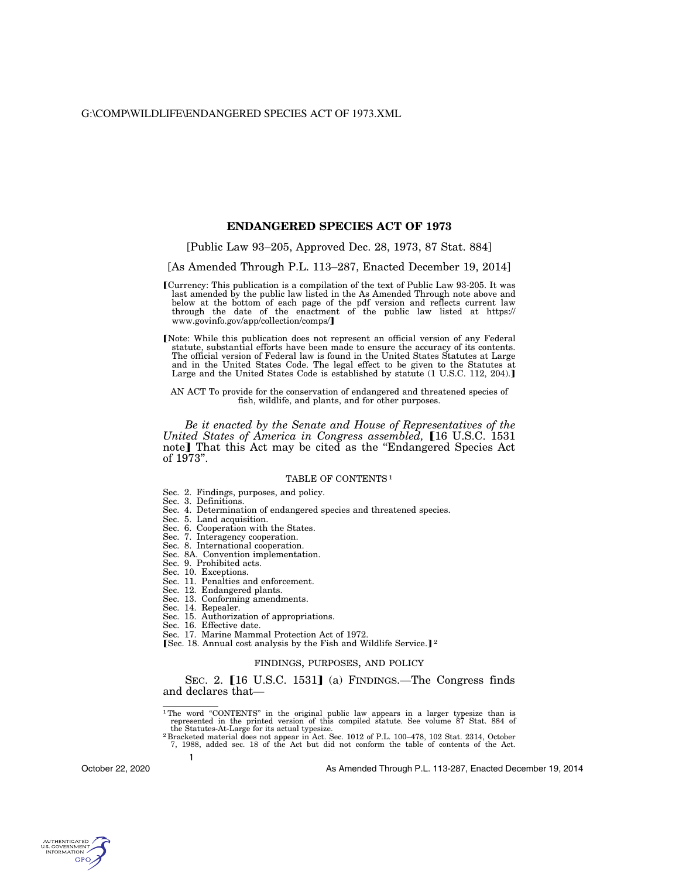G:\COMP\WILDLIFE\ENDANGERED SPECIES ACT OF 1973.XML

# **ENDANGERED SPECIES ACT OF 1973**

# [Public Law 93–205, Approved Dec. 28, 1973, 87 Stat. 884]

[As Amended Through P.L. 113–287, Enacted December 19, 2014]

- øCurrency: This publication is a compilation of the text of Public Law 93-205. It was last amended by the public law listed in the As Amended Through note above and below at the bottom of each page of the pdf version and reflects current law through the date of the enactment of the public law listed at https:// www.govinfo.gov/app/collection/comps/
- Note: While this publication does not represent an official version of any Federal statute, substantial efforts have been made to ensure the accuracy of its contents. The official version of Federal law is found in the United States Statutes at Large and in the United States Code. The legal effect to be given to the Statutes at Large and the United States Code is established by statute (1 U.S.C. 112, 204).]

AN ACT To provide for the conservation of endangered and threatened species of fish, wildlife, and plants, and for other purposes.

*Be it enacted by the Senate and House of Representatives of the United States of America in Congress assembled,* [16 U.S.C. 1531] note] That this Act may be cited as the "Endangered Species Act" of 1973''.

### TABLE OF CONTENTS 1

- Sec. 2. Findings, purposes, and policy.
- Sec. 3. Definitions.
- Sec. 4. Determination of endangered species and threatened species.
- Sec. 5. Land acquisition.
- Sec. 6. Cooperation with the States.
- Sec. 7. Interagency cooperation. Sec. 8. International cooperation.
- 
- Sec. 8A. Convention implementation. Sec. 9. Prohibited acts.
- Sec. 10. Exceptions.
- Sec. 11. Penalties and enforcement.
- Sec. 12. Endangered plants.
- Sec. 13. Conforming amendments.
- Sec. 14. Repealer.
- Sec. 15. Authorization of appropriations.
- Sec. 16. Effective date.
- Sec. 17. Marine Mammal Protection Act of 1972.
- [Sec. 18. Annual cost analysis by the Fish and Wildlife Service.]<sup>2</sup>

### FINDINGS, PURPOSES, AND POLICY

SEC. 2. [16 U.S.C. 1531] (a) FINDINGS.—The Congress finds and declares that—

<sup>1</sup>The word "CONTENTS" in the original public law appears in a larger typesize than is represented in the printed version of this compiled statute. See volume 87 Stat. 884 of<br>the Statutes-At-Large for its actual typesize.<br><sup>2</sup>Bracketed material does not appear in Act. Sec. 1012 of P.L. 100–478, 102 Stat. 2314

7, 1988, added sec. 18 of the Act but did not conform the table of contents of the Act.

**1** 

As Amended Through P.L. 113-287, Enacted December 19, 2014

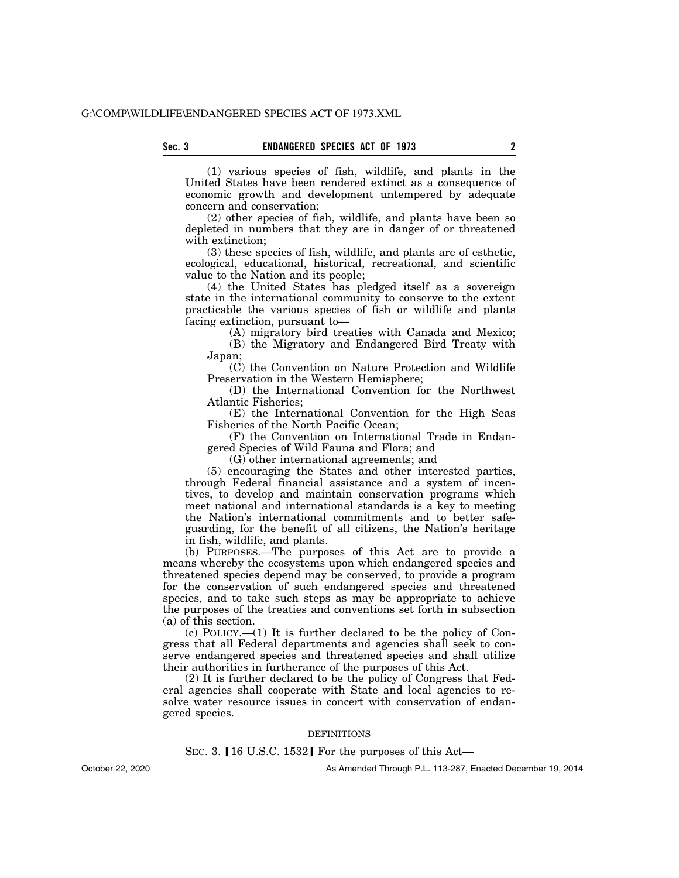(1) various species of fish, wildlife, and plants in the United States have been rendered extinct as a consequence of economic growth and development untempered by adequate concern and conservation;

(2) other species of fish, wildlife, and plants have been so depleted in numbers that they are in danger of or threatened with extinction;

(3) these species of fish, wildlife, and plants are of esthetic, ecological, educational, historical, recreational, and scientific value to the Nation and its people;

(4) the United States has pledged itself as a sovereign state in the international community to conserve to the extent practicable the various species of fish or wildlife and plants facing extinction, pursuant to—

(A) migratory bird treaties with Canada and Mexico; (B) the Migratory and Endangered Bird Treaty with Japan;

(C) the Convention on Nature Protection and Wildlife Preservation in the Western Hemisphere;

(D) the International Convention for the Northwest Atlantic Fisheries;

(E) the International Convention for the High Seas Fisheries of the North Pacific Ocean;

(F) the Convention on International Trade in Endangered Species of Wild Fauna and Flora; and

(G) other international agreements; and

(5) encouraging the States and other interested parties, through Federal financial assistance and a system of incentives, to develop and maintain conservation programs which meet national and international standards is a key to meeting the Nation's international commitments and to better safeguarding, for the benefit of all citizens, the Nation's heritage in fish, wildlife, and plants.

(b) PURPOSES.—The purposes of this Act are to provide a means whereby the ecosystems upon which endangered species and threatened species depend may be conserved, to provide a program for the conservation of such endangered species and threatened species, and to take such steps as may be appropriate to achieve the purposes of the treaties and conventions set forth in subsection (a) of this section.

(c) POLICY.—(1) It is further declared to be the policy of Congress that all Federal departments and agencies shall seek to conserve endangered species and threatened species and shall utilize their authorities in furtherance of the purposes of this Act.

(2) It is further declared to be the policy of Congress that Federal agencies shall cooperate with State and local agencies to resolve water resource issues in concert with conservation of endangered species.

### DEFINITIONS

SEC. 3.  $[16 \text{ U.S.C. } 1532]$  For the purposes of this Act—

As Amended Through P.L. 113-287, Enacted December 19, 2014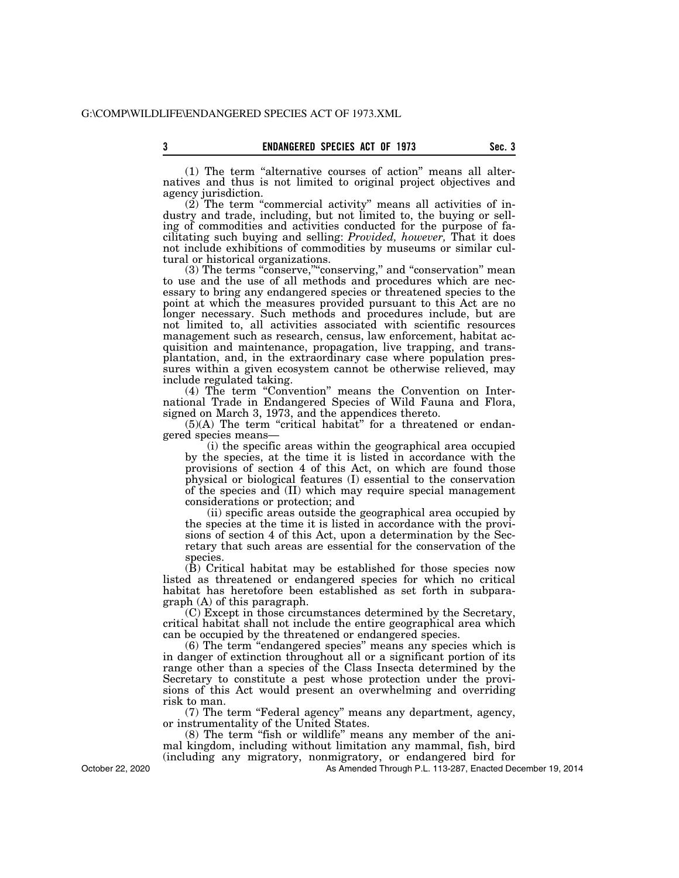(1) The term "alternative courses of action" means all alternatives and thus is not limited to original project objectives and agency jurisdiction.

(2) The term ''commercial activity'' means all activities of industry and trade, including, but not limited to, the buying or selling of commodities and activities conducted for the purpose of facilitating such buying and selling: *Provided, however,* That it does not include exhibitions of commodities by museums or similar cultural or historical organizations.

(3) The terms ''conserve,''''conserving,'' and ''conservation'' mean to use and the use of all methods and procedures which are necessary to bring any endangered species or threatened species to the point at which the measures provided pursuant to this Act are no longer necessary. Such methods and procedures include, but are not limited to, all activities associated with scientific resources management such as research, census, law enforcement, habitat acquisition and maintenance, propagation, live trapping, and transplantation, and, in the extraordinary case where population pressures within a given ecosystem cannot be otherwise relieved, may include regulated taking.

(4) The term ''Convention'' means the Convention on International Trade in Endangered Species of Wild Fauna and Flora, signed on March 3, 1973, and the appendices thereto.

 $(5)(A)$  The term "critical habitat" for a threatened or endangered species means—

(i) the specific areas within the geographical area occupied by the species, at the time it is listed in accordance with the provisions of section 4 of this Act, on which are found those physical or biological features (I) essential to the conservation of the species and (II) which may require special management considerations or protection; and

(ii) specific areas outside the geographical area occupied by the species at the time it is listed in accordance with the provisions of section 4 of this Act, upon a determination by the Secretary that such areas are essential for the conservation of the species.

(B) Critical habitat may be established for those species now listed as threatened or endangered species for which no critical habitat has heretofore been established as set forth in subparagraph (A) of this paragraph.

(C) Except in those circumstances determined by the Secretary, critical habitat shall not include the entire geographical area which can be occupied by the threatened or endangered species.

(6) The term ''endangered species'' means any species which is in danger of extinction throughout all or a significant portion of its range other than a species of the Class Insecta determined by the Secretary to constitute a pest whose protection under the provisions of this Act would present an overwhelming and overriding risk to man.

(7) The term ''Federal agency'' means any department, agency, or instrumentality of the United States.

(8) The term ''fish or wildlife'' means any member of the animal kingdom, including without limitation any mammal, fish, bird (including any migratory, nonmigratory, or endangered bird for

As Amended Through P.L. 113-287, Enacted December 19, 2014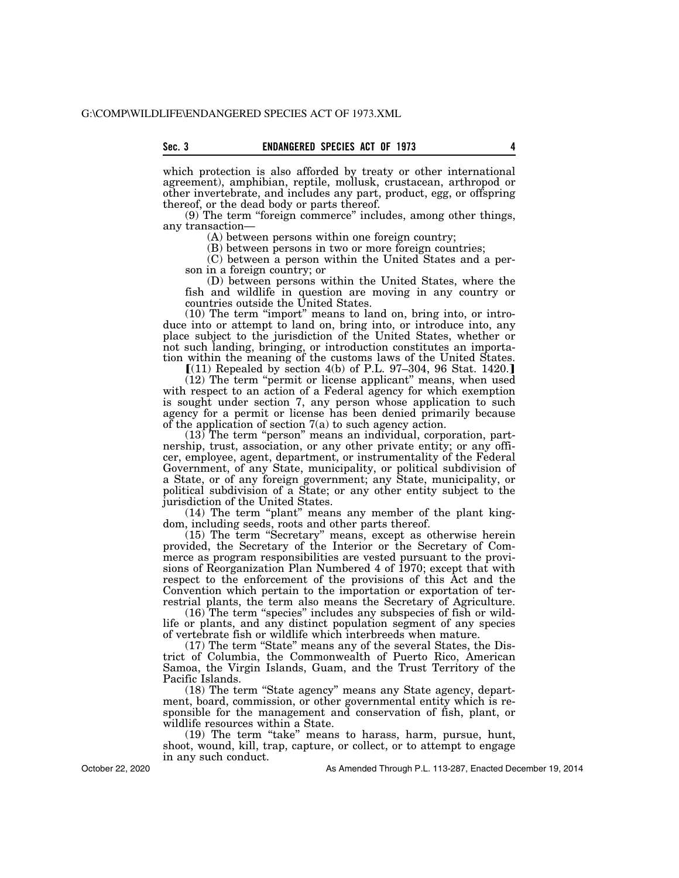which protection is also afforded by treaty or other international agreement), amphibian, reptile, mollusk, crustacean, arthropod or other invertebrate, and includes any part, product, egg, or offspring thereof, or the dead body or parts thereof.

 $(9)$  The term "foreign commerce" includes, among other things, any transaction—

(A) between persons within one foreign country;

(B) between persons in two or more foreign countries;

(C) between a person within the United States and a person in a foreign country; or

(D) between persons within the United States, where the fish and wildlife in question are moving in any country or countries outside the United States.

(10) The term ''import'' means to land on, bring into, or introduce into or attempt to land on, bring into, or introduce into, any place subject to the jurisdiction of the United States, whether or not such landing, bringing, or introduction constitutes an importation within the meaning of the customs laws of the United States.

 $[(11)$  Repealed by section 4(b) of P.L. 97-304, 96 Stat. 1420.]

(12) The term ''permit or license applicant'' means, when used with respect to an action of a Federal agency for which exemption is sought under section 7, any person whose application to such agency for a permit or license has been denied primarily because of the application of section 7(a) to such agency action.

(13) The term ''person'' means an individual, corporation, partnership, trust, association, or any other private entity; or any officer, employee, agent, department, or instrumentality of the Federal Government, of any State, municipality, or political subdivision of a State, or of any foreign government; any State, municipality, or political subdivision of a State; or any other entity subject to the jurisdiction of the United States.

(14) The term "plant" means any member of the plant kingdom, including seeds, roots and other parts thereof.

(15) The term ''Secretary'' means, except as otherwise herein provided, the Secretary of the Interior or the Secretary of Commerce as program responsibilities are vested pursuant to the provisions of Reorganization Plan Numbered 4 of 1970; except that with respect to the enforcement of the provisions of this Act and the Convention which pertain to the importation or exportation of terrestrial plants, the term also means the Secretary of Agriculture.

(16) The term ''species'' includes any subspecies of fish or wildlife or plants, and any distinct population segment of any species of vertebrate fish or wildlife which interbreeds when mature.

(17) The term ''State'' means any of the several States, the District of Columbia, the Commonwealth of Puerto Rico, American Samoa, the Virgin Islands, Guam, and the Trust Territory of the Pacific Islands.

(18) The term ''State agency'' means any State agency, department, board, commission, or other governmental entity which is responsible for the management and conservation of fish, plant, or wildlife resources within a State.

(19) The term ''take'' means to harass, harm, pursue, hunt, shoot, wound, kill, trap, capture, or collect, or to attempt to engage in any such conduct.

As Amended Through P.L. 113-287, Enacted December 19, 2014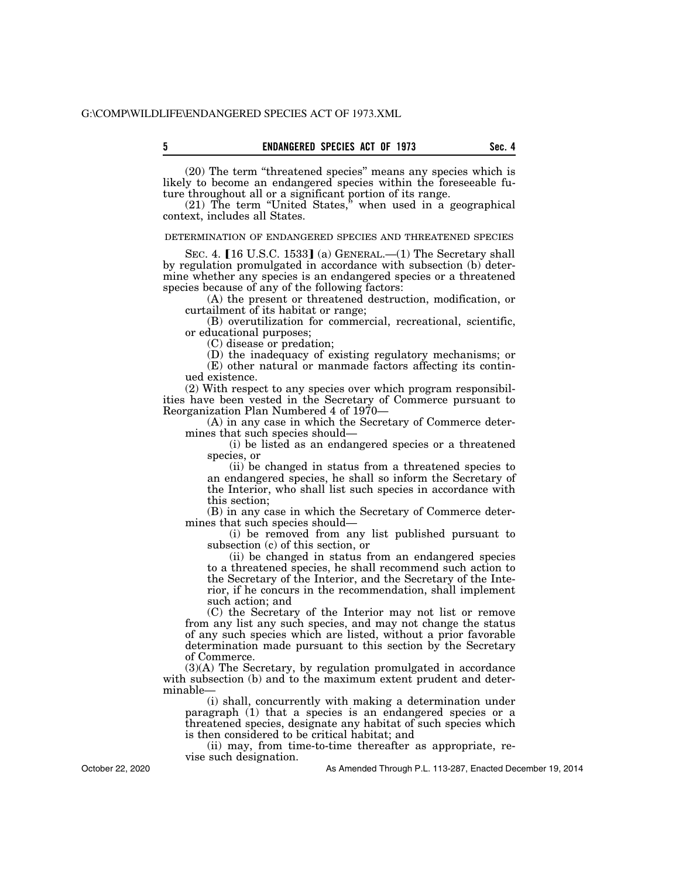(20) The term ''threatened species'' means any species which is likely to become an endangered species within the foreseeable future throughout all or a significant portion of its range.

(21) The term ''United States,'' when used in a geographical context, includes all States.

## DETERMINATION OF ENDANGERED SPECIES AND THREATENED SPECIES

SEC. 4.  $[16 \text{ U.S.C. } 1533]$  (a) GENERAL.—(1) The Secretary shall by regulation promulgated in accordance with subsection (b) determine whether any species is an endangered species or a threatened species because of any of the following factors:

(A) the present or threatened destruction, modification, or curtailment of its habitat or range;

(B) overutilization for commercial, recreational, scientific, or educational purposes;

(C) disease or predation;

(D) the inadequacy of existing regulatory mechanisms; or (E) other natural or manmade factors affecting its continued existence.

(2) With respect to any species over which program responsibilities have been vested in the Secretary of Commerce pursuant to Reorganization Plan Numbered 4 of 1970—

(A) in any case in which the Secretary of Commerce determines that such species should—

(i) be listed as an endangered species or a threatened species, or

(ii) be changed in status from a threatened species to an endangered species, he shall so inform the Secretary of the Interior, who shall list such species in accordance with this section;

(B) in any case in which the Secretary of Commerce determines that such species should—

(i) be removed from any list published pursuant to subsection (c) of this section, or

(ii) be changed in status from an endangered species to a threatened species, he shall recommend such action to the Secretary of the Interior, and the Secretary of the Interior, if he concurs in the recommendation, shall implement such action; and

(C) the Secretary of the Interior may not list or remove from any list any such species, and may not change the status of any such species which are listed, without a prior favorable determination made pursuant to this section by the Secretary of Commerce.

(3)(A) The Secretary, by regulation promulgated in accordance with subsection (b) and to the maximum extent prudent and determinable—

(i) shall, concurrently with making a determination under paragraph (1) that a species is an endangered species or a threatened species, designate any habitat of such species which is then considered to be critical habitat; and

(ii) may, from time-to-time thereafter as appropriate, revise such designation.

October 22, 2020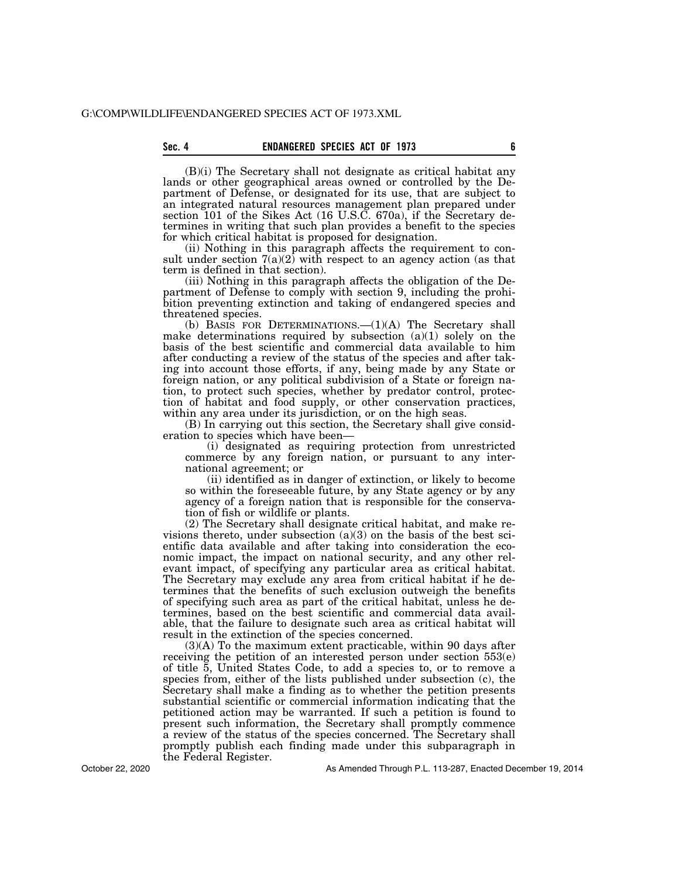(B)(i) The Secretary shall not designate as critical habitat any lands or other geographical areas owned or controlled by the Department of Defense, or designated for its use, that are subject to an integrated natural resources management plan prepared under section 101 of the Sikes Act (16 U.S.C. 670a), if the Secretary determines in writing that such plan provides a benefit to the species for which critical habitat is proposed for designation.

(ii) Nothing in this paragraph affects the requirement to consult under section  $7(a)(2)$  with respect to an agency action (as that term is defined in that section).

(iii) Nothing in this paragraph affects the obligation of the Department of Defense to comply with section 9, including the prohibition preventing extinction and taking of endangered species and threatened species.

(b) BASIS FOR DETERMINATIONS.—(1)(A) The Secretary shall make determinations required by subsection  $(a)(1)$  solely on the basis of the best scientific and commercial data available to him after conducting a review of the status of the species and after taking into account those efforts, if any, being made by any State or foreign nation, or any political subdivision of a State or foreign nation, to protect such species, whether by predator control, protection of habitat and food supply, or other conservation practices, within any area under its jurisdiction, or on the high seas.

(B) In carrying out this section, the Secretary shall give consideration to species which have been—

(i) designated as requiring protection from unrestricted commerce by any foreign nation, or pursuant to any international agreement; or

(ii) identified as in danger of extinction, or likely to become so within the foreseeable future, by any State agency or by any agency of a foreign nation that is responsible for the conservation of fish or wildlife or plants.

(2) The Secretary shall designate critical habitat, and make revisions thereto, under subsection  $(a)(3)$  on the basis of the best scientific data available and after taking into consideration the economic impact, the impact on national security, and any other relevant impact, of specifying any particular area as critical habitat. The Secretary may exclude any area from critical habitat if he determines that the benefits of such exclusion outweigh the benefits of specifying such area as part of the critical habitat, unless he determines, based on the best scientific and commercial data available, that the failure to designate such area as critical habitat will result in the extinction of the species concerned.

(3)(A) To the maximum extent practicable, within 90 days after receiving the petition of an interested person under section 553(e) of title 5, United States Code, to add a species to, or to remove a species from, either of the lists published under subsection (c), the Secretary shall make a finding as to whether the petition presents substantial scientific or commercial information indicating that the petitioned action may be warranted. If such a petition is found to present such information, the Secretary shall promptly commence a review of the status of the species concerned. The Secretary shall promptly publish each finding made under this subparagraph in the Federal Register.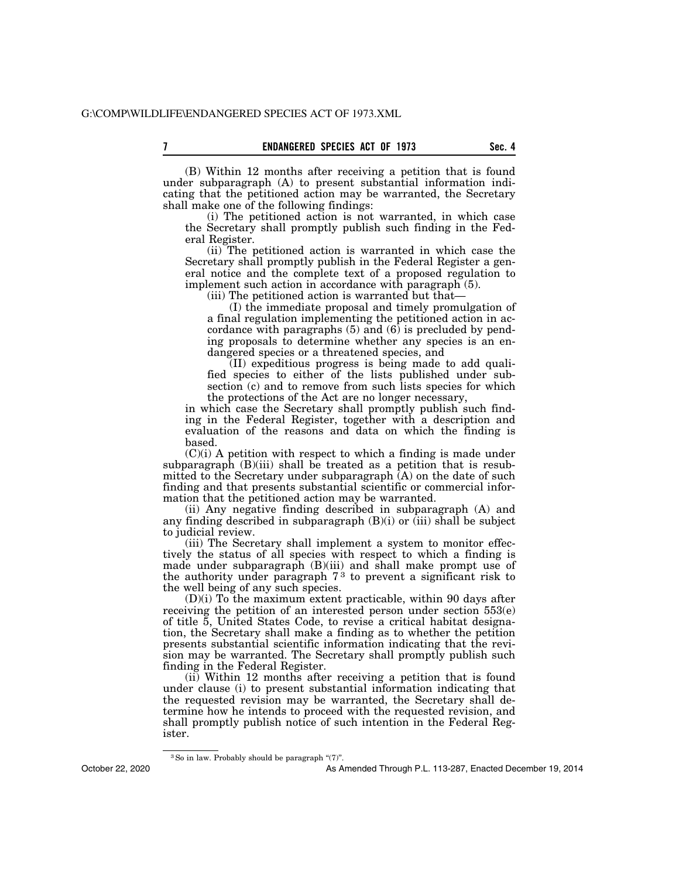(B) Within 12 months after receiving a petition that is found under subparagraph (A) to present substantial information indicating that the petitioned action may be warranted, the Secretary shall make one of the following findings:

(i) The petitioned action is not warranted, in which case the Secretary shall promptly publish such finding in the Federal Register.

(ii) The petitioned action is warranted in which case the Secretary shall promptly publish in the Federal Register a general notice and the complete text of a proposed regulation to implement such action in accordance with paragraph (5).

(iii) The petitioned action is warranted but that—

(I) the immediate proposal and timely promulgation of a final regulation implementing the petitioned action in accordance with paragraphs (5) and (6) is precluded by pending proposals to determine whether any species is an endangered species or a threatened species, and

(II) expeditious progress is being made to add qualified species to either of the lists published under subsection (c) and to remove from such lists species for which the protections of the Act are no longer necessary,

in which case the Secretary shall promptly publish such finding in the Federal Register, together with a description and evaluation of the reasons and data on which the finding is based.

(C)(i) A petition with respect to which a finding is made under subparagraph  $(B)(iii)$  shall be treated as a petition that is resubmitted to the Secretary under subparagraph  $(A)$  on the date of such finding and that presents substantial scientific or commercial information that the petitioned action may be warranted.

(ii) Any negative finding described in subparagraph (A) and any finding described in subparagraph  $(B)(i)$  or  $(iii)$  shall be subject to judicial review.

(iii) The Secretary shall implement a system to monitor effectively the status of all species with respect to which a finding is made under subparagraph (B)(iii) and shall make prompt use of the authority under paragraph  $7<sup>3</sup>$  to prevent a significant risk to the well being of any such species.

(D)(i) To the maximum extent practicable, within 90 days after receiving the petition of an interested person under section 553(e) of title 5, United States Code, to revise a critical habitat designation, the Secretary shall make a finding as to whether the petition presents substantial scientific information indicating that the revision may be warranted. The Secretary shall promptly publish such finding in the Federal Register.

(ii) Within 12 months after receiving a petition that is found under clause (i) to present substantial information indicating that the requested revision may be warranted, the Secretary shall determine how he intends to proceed with the requested revision, and shall promptly publish notice of such intention in the Federal Register.

 $3$  So in law. Probably should be paragraph " $(7)$ ".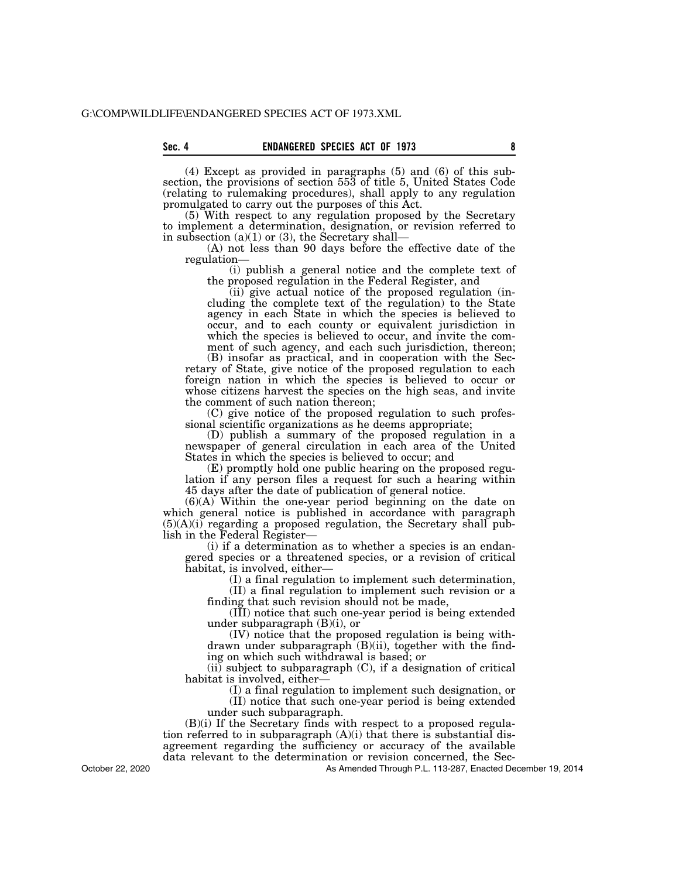(4) Except as provided in paragraphs (5) and (6) of this subsection, the provisions of section 553 of title 5, United States Code (relating to rulemaking procedures), shall apply to any regulation promulgated to carry out the purposes of this Act.

(5) With respect to any regulation proposed by the Secretary to implement a determination, designation, or revision referred to in subsection (a)(1) or (3), the Secretary shall—

(A) not less than 90 days before the effective date of the regulation—

(i) publish a general notice and the complete text of the proposed regulation in the Federal Register, and

(ii) give actual notice of the proposed regulation (including the complete text of the regulation) to the State agency in each State in which the species is believed to occur, and to each county or equivalent jurisdiction in which the species is believed to occur, and invite the comment of such agency, and each such jurisdiction, thereon;

(B) insofar as practical, and in cooperation with the Secretary of State, give notice of the proposed regulation to each foreign nation in which the species is believed to occur or whose citizens harvest the species on the high seas, and invite the comment of such nation thereon;

(C) give notice of the proposed regulation to such professional scientific organizations as he deems appropriate;

(D) publish a summary of the proposed regulation in a newspaper of general circulation in each area of the United States in which the species is believed to occur; and

(E) promptly hold one public hearing on the proposed regulation if any person files a request for such a hearing within 45 days after the date of publication of general notice.

(6)(A) Within the one-year period beginning on the date on which general notice is published in accordance with paragraph  $(5)(A)(i)$  regarding a proposed regulation, the Secretary shall publish in the Federal Register—

(i) if a determination as to whether a species is an endangered species or a threatened species, or a revision of critical habitat, is involved, either—

(I) a final regulation to implement such determination, (II) a final regulation to implement such revision or a

finding that such revision should not be made, (III) notice that such one-year period is being extended

under subparagraph (B)(i), or

(IV) notice that the proposed regulation is being withdrawn under subparagraph (B)(ii), together with the finding on which such withdrawal is based; or

 $(ii)$  subject to subparagraph  $(C)$ , if a designation of critical habitat is involved, either—

(I) a final regulation to implement such designation, or

(II) notice that such one-year period is being extended under such subparagraph.

(B)(i) If the Secretary finds with respect to a proposed regulation referred to in subparagraph  $(A)(i)$  that there is substantial disagreement regarding the sufficiency or accuracy of the available data relevant to the determination or revision concerned, the Sec-

As Amended Through P.L. 113-287, Enacted December 19, 2014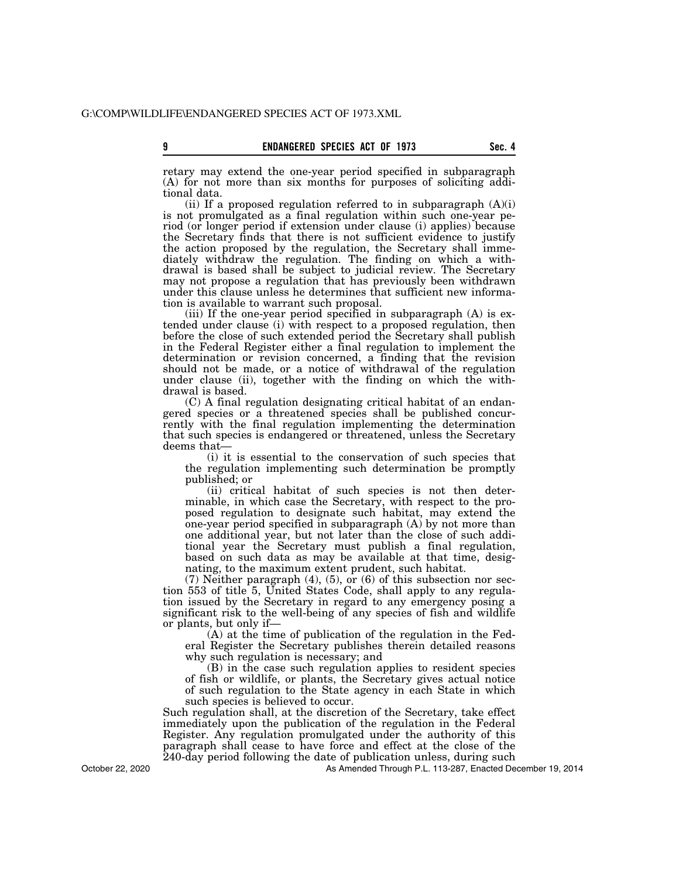retary may extend the one-year period specified in subparagraph (A) for not more than six months for purposes of soliciting additional data.

(ii) If a proposed regulation referred to in subparagraph  $(A)(i)$ is not promulgated as a final regulation within such one-year period (or longer period if extension under clause (i) applies) because the Secretary finds that there is not sufficient evidence to justify the action proposed by the regulation, the Secretary shall immediately withdraw the regulation. The finding on which a withdrawal is based shall be subject to judicial review. The Secretary may not propose a regulation that has previously been withdrawn under this clause unless he determines that sufficient new information is available to warrant such proposal.

(iii) If the one-year period specified in subparagraph (A) is extended under clause (i) with respect to a proposed regulation, then before the close of such extended period the Secretary shall publish in the Federal Register either a final regulation to implement the determination or revision concerned, a finding that the revision should not be made, or a notice of withdrawal of the regulation under clause (ii), together with the finding on which the withdrawal is based.

(C) A final regulation designating critical habitat of an endangered species or a threatened species shall be published concurrently with the final regulation implementing the determination that such species is endangered or threatened, unless the Secretary deems that—

(i) it is essential to the conservation of such species that the regulation implementing such determination be promptly published; or

(ii) critical habitat of such species is not then determinable, in which case the Secretary, with respect to the proposed regulation to designate such habitat, may extend the one-year period specified in subparagraph (A) by not more than one additional year, but not later than the close of such additional year the Secretary must publish a final regulation, based on such data as may be available at that time, designating, to the maximum extent prudent, such habitat.

(7) Neither paragraph  $(4)$ ,  $(5)$ , or  $(6)$  of this subsection nor section 553 of title 5, United States Code, shall apply to any regulation issued by the Secretary in regard to any emergency posing a significant risk to the well-being of any species of fish and wildlife or plants, but only if—

(A) at the time of publication of the regulation in the Federal Register the Secretary publishes therein detailed reasons why such regulation is necessary; and

(B) in the case such regulation applies to resident species of fish or wildlife, or plants, the Secretary gives actual notice of such regulation to the State agency in each State in which such species is believed to occur.

Such regulation shall, at the discretion of the Secretary, take effect immediately upon the publication of the regulation in the Federal Register. Any regulation promulgated under the authority of this paragraph shall cease to have force and effect at the close of the 240-day period following the date of publication unless, during such

As Amended Through P.L. 113-287, Enacted December 19, 2014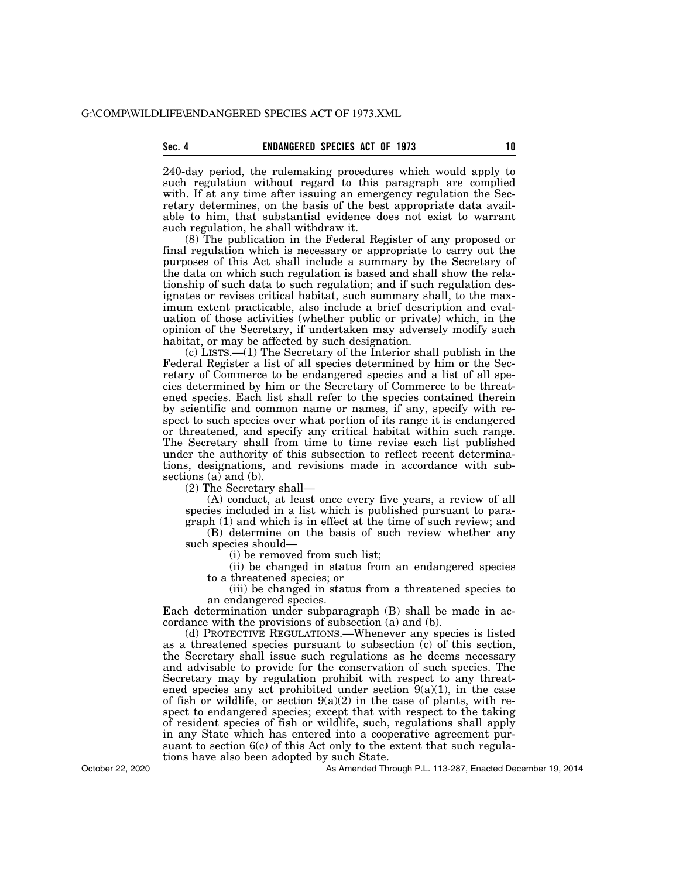240-day period, the rulemaking procedures which would apply to such regulation without regard to this paragraph are complied with. If at any time after issuing an emergency regulation the Secretary determines, on the basis of the best appropriate data available to him, that substantial evidence does not exist to warrant such regulation, he shall withdraw it.

(8) The publication in the Federal Register of any proposed or final regulation which is necessary or appropriate to carry out the purposes of this Act shall include a summary by the Secretary of the data on which such regulation is based and shall show the relationship of such data to such regulation; and if such regulation designates or revises critical habitat, such summary shall, to the maximum extent practicable, also include a brief description and evaluation of those activities (whether public or private) which, in the opinion of the Secretary, if undertaken may adversely modify such habitat, or may be affected by such designation.

(c) LISTS.—(1) The Secretary of the Interior shall publish in the Federal Register a list of all species determined by him or the Secretary of Commerce to be endangered species and a list of all species determined by him or the Secretary of Commerce to be threatened species. Each list shall refer to the species contained therein by scientific and common name or names, if any, specify with respect to such species over what portion of its range it is endangered or threatened, and specify any critical habitat within such range. The Secretary shall from time to time revise each list published under the authority of this subsection to reflect recent determinations, designations, and revisions made in accordance with subsections (a) and (b).

(2) The Secretary shall—

(A) conduct, at least once every five years, a review of all species included in a list which is published pursuant to paragraph (1) and which is in effect at the time of such review; and

(B) determine on the basis of such review whether any such species should—

(i) be removed from such list;

(ii) be changed in status from an endangered species to a threatened species; or

(iii) be changed in status from a threatened species to an endangered species.

Each determination under subparagraph (B) shall be made in accordance with the provisions of subsection (a) and (b).

(d) PROTECTIVE REGULATIONS.—Whenever any species is listed as a threatened species pursuant to subsection (c) of this section, the Secretary shall issue such regulations as he deems necessary and advisable to provide for the conservation of such species. The Secretary may by regulation prohibit with respect to any threatened species any act prohibited under section  $\mathcal{Y}(a)(1)$ , in the case of fish or wildlife, or section  $9(a)(2)$  in the case of plants, with respect to endangered species; except that with respect to the taking of resident species of fish or wildlife, such, regulations shall apply in any State which has entered into a cooperative agreement pursuant to section  $6(c)$  of this Act only to the extent that such regulations have also been adopted by such State.

October 22, 2020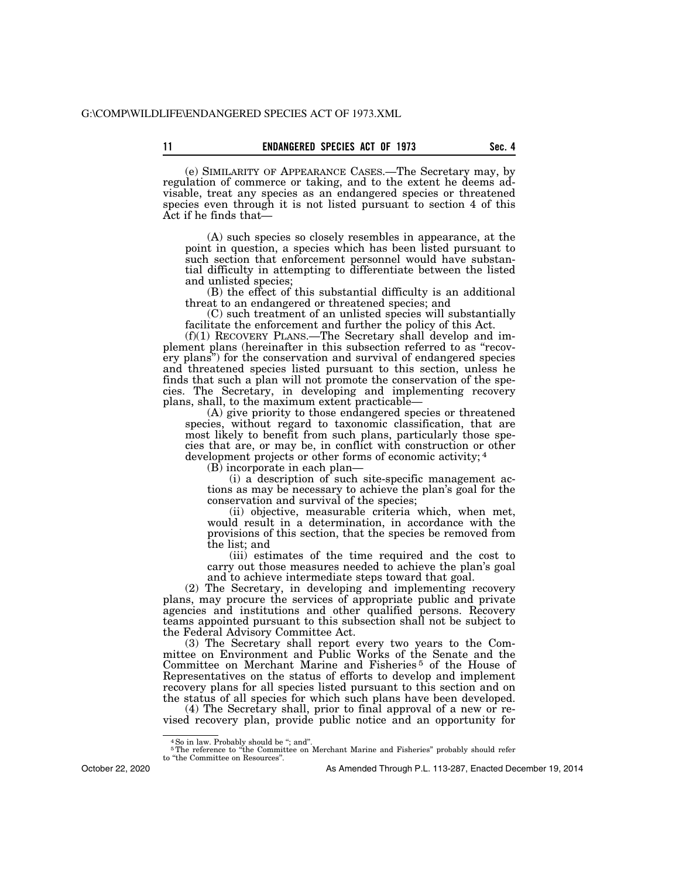(e) SIMILARITY OF APPEARANCE CASES.—The Secretary may, by regulation of commerce or taking, and to the extent he deems advisable, treat any species as an endangered species or threatened species even through it is not listed pursuant to section 4 of this Act if he finds that—

(A) such species so closely resembles in appearance, at the point in question, a species which has been listed pursuant to such section that enforcement personnel would have substantial difficulty in attempting to differentiate between the listed and unlisted species;

(B) the effect of this substantial difficulty is an additional threat to an endangered or threatened species; and

(C) such treatment of an unlisted species will substantially facilitate the enforcement and further the policy of this Act.

(f)(1) RECOVERY PLANS.—The Secretary shall develop and implement plans (hereinafter in this subsection referred to as ''recovery plans'') for the conservation and survival of endangered species and threatened species listed pursuant to this section, unless he finds that such a plan will not promote the conservation of the species. The Secretary, in developing and implementing recovery plans, shall, to the maximum extent practicable—

(A) give priority to those endangered species or threatened species, without regard to taxonomic classification, that are most likely to benefit from such plans, particularly those species that are, or may be, in conflict with construction or other development projects or other forms of economic activity; 4

(B) incorporate in each plan—

(i) a description of such site-specific management actions as may be necessary to achieve the plan's goal for the conservation and survival of the species;

(ii) objective, measurable criteria which, when met, would result in a determination, in accordance with the provisions of this section, that the species be removed from the list; and

(iii) estimates of the time required and the cost to carry out those measures needed to achieve the plan's goal and to achieve intermediate steps toward that goal.

(2) The Secretary, in developing and implementing recovery plans, may procure the services of appropriate public and private agencies and institutions and other qualified persons. Recovery teams appointed pursuant to this subsection shall not be subject to the Federal Advisory Committee Act.

(3) The Secretary shall report every two years to the Committee on Environment and Public Works of the Senate and the Committee on Merchant Marine and Fisheries 5 of the House of Representatives on the status of efforts to develop and implement recovery plans for all species listed pursuant to this section and on the status of all species for which such plans have been developed.

(4) The Secretary shall, prior to final approval of a new or revised recovery plan, provide public notice and an opportunity for

October 22, 2020

<sup>4</sup>So in law. Probably should be ''; and''. 5The reference to ''the Committee on Merchant Marine and Fisheries'' probably should refer to ''the Committee on Resources''.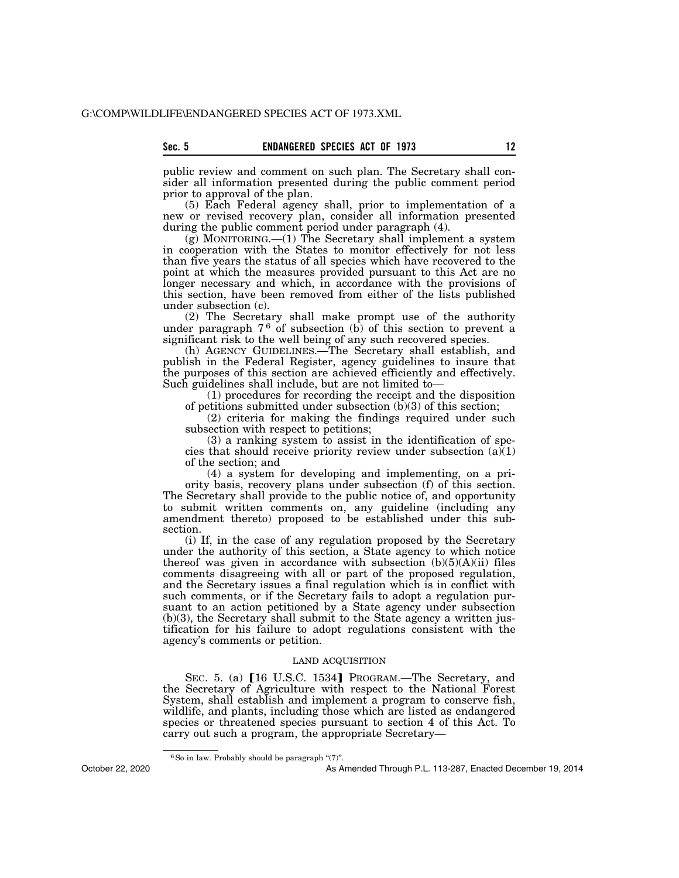public review and comment on such plan. The Secretary shall consider all information presented during the public comment period prior to approval of the plan.

(5) Each Federal agency shall, prior to implementation of a new or revised recovery plan, consider all information presented during the public comment period under paragraph (4).

(g) MONITORING.—(1) The Secretary shall implement a system in cooperation with the States to monitor effectively for not less than five years the status of all species which have recovered to the point at which the measures provided pursuant to this Act are no longer necessary and which, in accordance with the provisions of this section, have been removed from either of the lists published under subsection (c).

(2) The Secretary shall make prompt use of the authority under paragraph  $7<sup>6</sup>$  of subsection (b) of this section to prevent a significant risk to the well being of any such recovered species.

(h) AGENCY GUIDELINES.—The Secretary shall establish, and publish in the Federal Register, agency guidelines to insure that the purposes of this section are achieved efficiently and effectively. Such guidelines shall include, but are not limited to—

(1) procedures for recording the receipt and the disposition of petitions submitted under subsection (b)(3) of this section;

(2) criteria for making the findings required under such subsection with respect to petitions;

(3) a ranking system to assist in the identification of species that should receive priority review under subsection  $(a)$  $(1)$ of the section; and

(4) a system for developing and implementing, on a priority basis, recovery plans under subsection (f) of this section. The Secretary shall provide to the public notice of, and opportunity to submit written comments on, any guideline (including any amendment thereto) proposed to be established under this subsection.

(i) If, in the case of any regulation proposed by the Secretary under the authority of this section, a State agency to which notice thereof was given in accordance with subsection  $(b)(5)(A)(ii)$  files comments disagreeing with all or part of the proposed regulation, and the Secretary issues a final regulation which is in conflict with such comments, or if the Secretary fails to adopt a regulation pursuant to an action petitioned by a State agency under subsection (b)(3), the Secretary shall submit to the State agency a written justification for his failure to adopt regulations consistent with the agency's comments or petition.

### LAND ACQUISITION

SEC. 5. (a) [16 U.S.C. 1534] PROGRAM.—The Secretary, and the Secretary of Agriculture with respect to the National Forest System, shall establish and implement a program to conserve fish, wildlife, and plants, including those which are listed as endangered species or threatened species pursuant to section 4 of this Act. To carry out such a program, the appropriate Secretary—

October 22, 2020

 $6S$ o in law. Probably should be paragraph "(7)".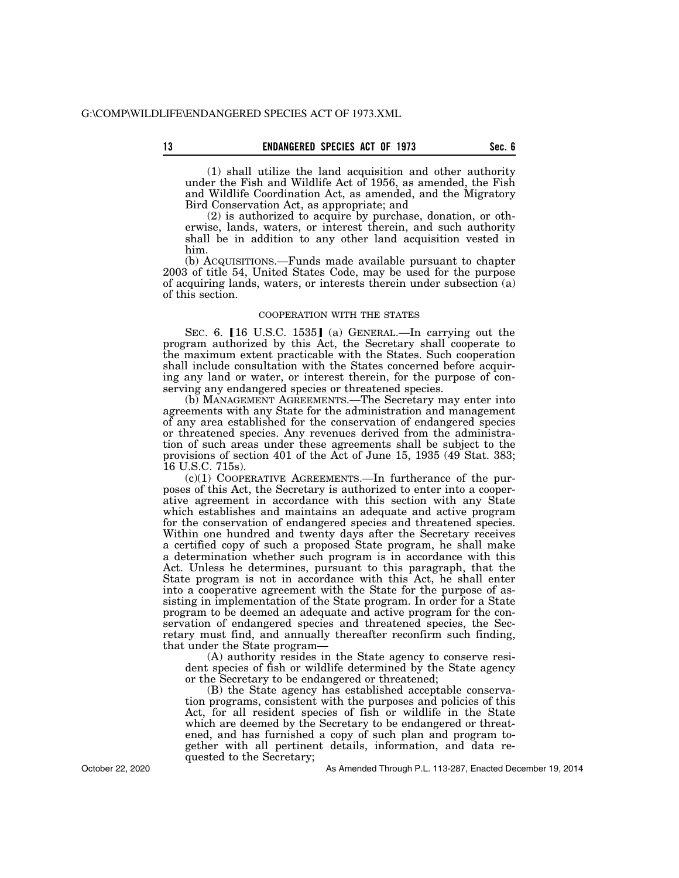(1) shall utilize the land acquisition and other authority under the Fish and Wildlife Act of 1956, as amended, the Fish and Wildlife Coordination Act, as amended, and the Migratory Bird Conservation Act, as appropriate; and

(2) is authorized to acquire by purchase, donation, or otherwise, lands, waters, or interest therein, and such authority shall be in addition to any other land acquisition vested in him.

(b) ACQUISITIONS.—Funds made available pursuant to chapter 2003 of title 54, United States Code, may be used for the purpose of acquiring lands, waters, or interests therein under subsection (a) of this section.

### COOPERATION WITH THE STATES

SEC. 6. [16 U.S.C. 1535] (a) GENERAL.—In carrying out the program authorized by this Act, the Secretary shall cooperate to the maximum extent practicable with the States. Such cooperation shall include consultation with the States concerned before acquiring any land or water, or interest therein, for the purpose of conserving any endangered species or threatened species.

(b) MANAGEMENT AGREEMENTS.—The Secretary may enter into agreements with any State for the administration and management of any area established for the conservation of endangered species or threatened species. Any revenues derived from the administration of such areas under these agreements shall be subject to the provisions of section 401 of the Act of June 15, 1935 (49 Stat. 383; 16 U.S.C. 715s).

(c)(1) COOPERATIVE AGREEMENTS.—In furtherance of the purposes of this Act, the Secretary is authorized to enter into a cooperative agreement in accordance with this section with any State which establishes and maintains an adequate and active program for the conservation of endangered species and threatened species. Within one hundred and twenty days after the Secretary receives a certified copy of such a proposed State program, he shall make a determination whether such program is in accordance with this Act. Unless he determines, pursuant to this paragraph, that the State program is not in accordance with this Act, he shall enter into a cooperative agreement with the State for the purpose of assisting in implementation of the State program. In order for a State program to be deemed an adequate and active program for the conservation of endangered species and threatened species, the Secretary must find, and annually thereafter reconfirm such finding, that under the State program—

(A) authority resides in the State agency to conserve resident species of fish or wildlife determined by the State agency or the Secretary to be endangered or threatened;

(B) the State agency has established acceptable conservation programs, consistent with the purposes and policies of this Act, for all resident species of fish or wildlife in the State which are deemed by the Secretary to be endangered or threatened, and has furnished a copy of such plan and program together with all pertinent details, information, and data requested to the Secretary;

As Amended Through P.L. 113-287, Enacted December 19, 2014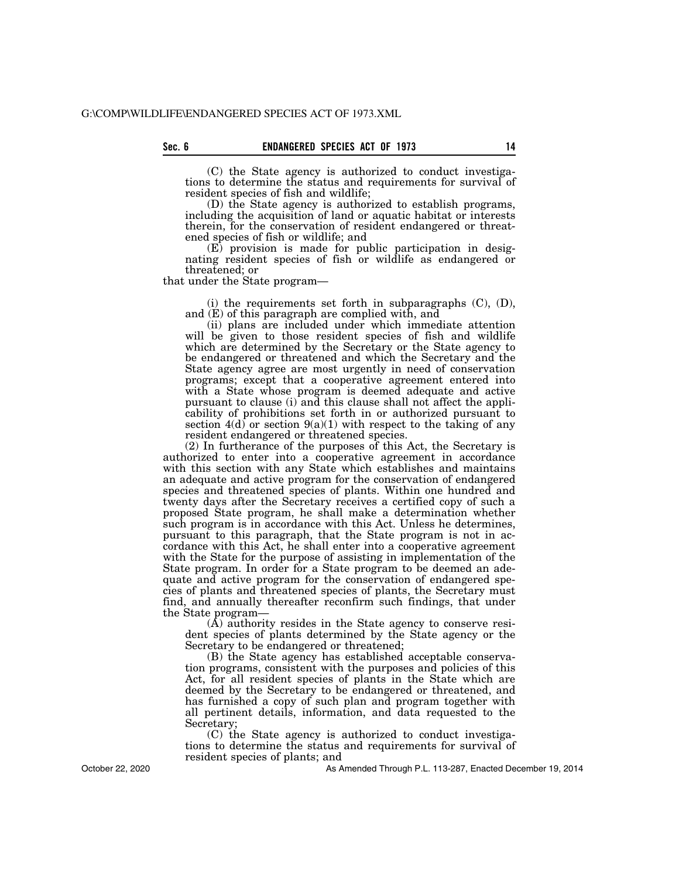(C) the State agency is authorized to conduct investigations to determine the status and requirements for survival of resident species of fish and wildlife;

(D) the State agency is authorized to establish programs, including the acquisition of land or aquatic habitat or interests therein, for the conservation of resident endangered or threatened species of fish or wildlife; and

(E) provision is made for public participation in designating resident species of fish or wildlife as endangered or threatened; or

that under the State program—

(i) the requirements set forth in subparagraphs (C), (D), and (E) of this paragraph are complied with, and

(ii) plans are included under which immediate attention will be given to those resident species of fish and wildlife which are determined by the Secretary or the State agency to be endangered or threatened and which the Secretary and the State agency agree are most urgently in need of conservation programs; except that a cooperative agreement entered into with a State whose program is deemed adequate and active pursuant to clause (i) and this clause shall not affect the applicability of prohibitions set forth in or authorized pursuant to section  $4(d)$  or section  $9(a)(1)$  with respect to the taking of any resident endangered or threatened species.

(2) In furtherance of the purposes of this Act, the Secretary is authorized to enter into a cooperative agreement in accordance with this section with any State which establishes and maintains an adequate and active program for the conservation of endangered species and threatened species of plants. Within one hundred and twenty days after the Secretary receives a certified copy of such a proposed State program, he shall make a determination whether such program is in accordance with this Act. Unless he determines, pursuant to this paragraph, that the State program is not in accordance with this Act, he shall enter into a cooperative agreement with the State for the purpose of assisting in implementation of the State program. In order for a State program to be deemed an adequate and active program for the conservation of endangered species of plants and threatened species of plants, the Secretary must find, and annually thereafter reconfirm such findings, that under the State program—

(A) authority resides in the State agency to conserve resident species of plants determined by the State agency or the Secretary to be endangered or threatened;

(B) the State agency has established acceptable conservation programs, consistent with the purposes and policies of this Act, for all resident species of plants in the State which are deemed by the Secretary to be endangered or threatened, and has furnished a copy of such plan and program together with all pertinent details, information, and data requested to the Secretary;

(C) the State agency is authorized to conduct investigations to determine the status and requirements for survival of resident species of plants; and

As Amended Through P.L. 113-287, Enacted December 19, 2014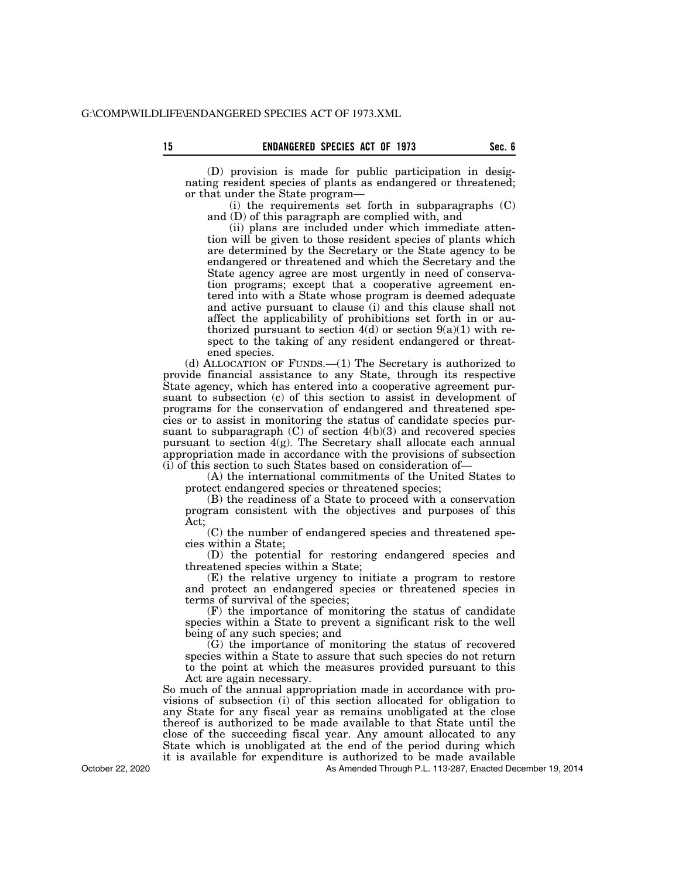(D) provision is made for public participation in designating resident species of plants as endangered or threatened; or that under the State program—

(i) the requirements set forth in subparagraphs (C) and (D) of this paragraph are complied with, and

(ii) plans are included under which immediate attention will be given to those resident species of plants which are determined by the Secretary or the State agency to be endangered or threatened and which the Secretary and the State agency agree are most urgently in need of conservation programs; except that a cooperative agreement entered into with a State whose program is deemed adequate and active pursuant to clause (i) and this clause shall not affect the applicability of prohibitions set forth in or authorized pursuant to section  $4(d)$  or section  $9(a)(1)$  with respect to the taking of any resident endangered or threatened species.

(d) ALLOCATION OF FUNDS.—(1) The Secretary is authorized to provide financial assistance to any State, through its respective State agency, which has entered into a cooperative agreement pursuant to subsection (c) of this section to assist in development of programs for the conservation of endangered and threatened species or to assist in monitoring the status of candidate species pursuant to subparagraph  $(C)$  of section  $4(b)(3)$  and recovered species pursuant to section  $4(g)$ . The Secretary shall allocate each annual appropriation made in accordance with the provisions of subsection (i) of this section to such States based on consideration of—

(A) the international commitments of the United States to protect endangered species or threatened species;

(B) the readiness of a State to proceed with a conservation program consistent with the objectives and purposes of this Act;

(C) the number of endangered species and threatened species within a State;

(D) the potential for restoring endangered species and threatened species within a State;

(E) the relative urgency to initiate a program to restore and protect an endangered species or threatened species in terms of survival of the species;

(F) the importance of monitoring the status of candidate species within a State to prevent a significant risk to the well being of any such species; and

(G) the importance of monitoring the status of recovered species within a State to assure that such species do not return to the point at which the measures provided pursuant to this Act are again necessary.

So much of the annual appropriation made in accordance with provisions of subsection (i) of this section allocated for obligation to any State for any fiscal year as remains unobligated at the close thereof is authorized to be made available to that State until the close of the succeeding fiscal year. Any amount allocated to any State which is unobligated at the end of the period during which it is available for expenditure is authorized to be made available

As Amended Through P.L. 113-287, Enacted December 19, 2014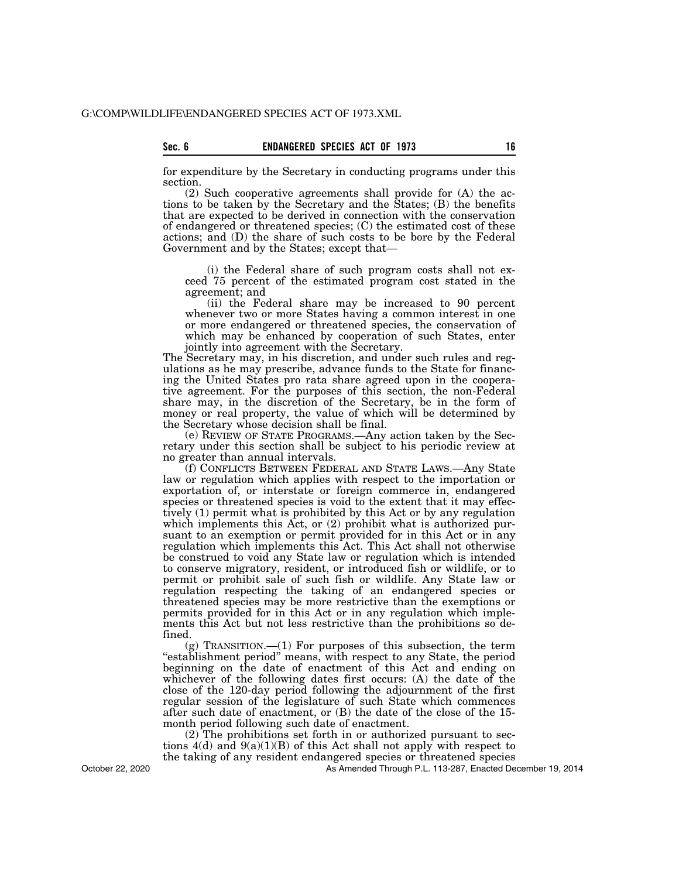for expenditure by the Secretary in conducting programs under this section.

(2) Such cooperative agreements shall provide for (A) the actions to be taken by the Secretary and the States; (B) the benefits that are expected to be derived in connection with the conservation of endangered or threatened species; (C) the estimated cost of these actions; and (D) the share of such costs to be bore by the Federal Government and by the States; except that—

(i) the Federal share of such program costs shall not exceed 75 percent of the estimated program cost stated in the agreement; and

(ii) the Federal share may be increased to 90 percent whenever two or more States having a common interest in one or more endangered or threatened species, the conservation of which may be enhanced by cooperation of such States, enter jointly into agreement with the Secretary.

The Secretary may, in his discretion, and under such rules and regulations as he may prescribe, advance funds to the State for financing the United States pro rata share agreed upon in the cooperative agreement. For the purposes of this section, the non-Federal share may, in the discretion of the Secretary, be in the form of money or real property, the value of which will be determined by the Secretary whose decision shall be final.

(e) REVIEW OF STATE PROGRAMS.—Any action taken by the Secretary under this section shall be subject to his periodic review at no greater than annual intervals.

(f) CONFLICTS BETWEEN FEDERAL AND STATE LAWS.—Any State law or regulation which applies with respect to the importation or exportation of, or interstate or foreign commerce in, endangered species or threatened species is void to the extent that it may effectively (1) permit what is prohibited by this Act or by any regulation which implements this Act, or  $(2)$  prohibit what is authorized pursuant to an exemption or permit provided for in this Act or in any regulation which implements this Act. This Act shall not otherwise be construed to void any State law or regulation which is intended to conserve migratory, resident, or introduced fish or wildlife, or to permit or prohibit sale of such fish or wildlife. Any State law or regulation respecting the taking of an endangered species or threatened species may be more restrictive than the exemptions or permits provided for in this Act or in any regulation which implements this Act but not less restrictive than the prohibitions so defined.

 $(g)$  TRANSITION.—(1) For purposes of this subsection, the term "establishment period" means, with respect to any State, the period beginning on the date of enactment of this Act and ending on whichever of the following dates first occurs: (A) the date of the close of the 120-day period following the adjournment of the first regular session of the legislature of such State which commences after such date of enactment, or (B) the date of the close of the 15 month period following such date of enactment.

(2) The prohibitions set forth in or authorized pursuant to sections  $4(d)$  and  $9(a)(1)(B)$  of this Act shall not apply with respect to the taking of any resident endangered species or threatened species

As Amended Through P.L. 113-287, Enacted December 19, 2014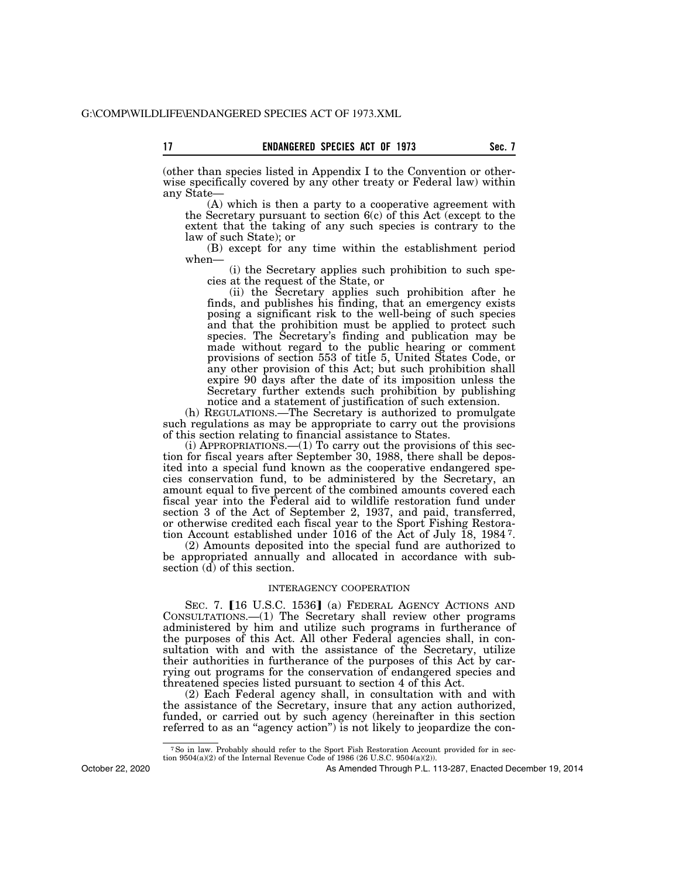(other than species listed in Appendix I to the Convention or otherwise specifically covered by any other treaty or Federal law) within any State—

(A) which is then a party to a cooperative agreement with the Secretary pursuant to section 6(c) of this Act (except to the extent that the taking of any such species is contrary to the law of such State); or

(B) except for any time within the establishment period when—

(i) the Secretary applies such prohibition to such species at the request of the State, or

(ii) the Secretary applies such prohibition after he finds, and publishes his finding, that an emergency exists posing a significant risk to the well-being of such species and that the prohibition must be applied to protect such species. The Secretary's finding and publication may be made without regard to the public hearing or comment provisions of section 553 of title 5, United States Code, or any other provision of this Act; but such prohibition shall expire 90 days after the date of its imposition unless the Secretary further extends such prohibition by publishing notice and a statement of justification of such extension.

(h) REGULATIONS.—The Secretary is authorized to promulgate such regulations as may be appropriate to carry out the provisions of this section relating to financial assistance to States.

(i) APPROPRIATIONS.—(1) To carry out the provisions of this section for fiscal years after September 30, 1988, there shall be deposited into a special fund known as the cooperative endangered species conservation fund, to be administered by the Secretary, an amount equal to five percent of the combined amounts covered each fiscal year into the Federal aid to wildlife restoration fund under section 3 of the Act of September 2, 1937, and paid, transferred, or otherwise credited each fiscal year to the Sport Fishing Restoration Account established under 1016 of the Act of July 18, 1984 7.

(2) Amounts deposited into the special fund are authorized to be appropriated annually and allocated in accordance with subsection (d) of this section.

### INTERAGENCY COOPERATION

SEC. 7. **[16 U.S.C. 1536]** (a) FEDERAL AGENCY ACTIONS AND CONSULTATIONS.—(1) The Secretary shall review other programs administered by him and utilize such programs in furtherance of the purposes of this Act. All other Federal agencies shall, in consultation with and with the assistance of the Secretary, utilize their authorities in furtherance of the purposes of this Act by carrying out programs for the conservation of endangered species and threatened species listed pursuant to section 4 of this Act.

(2) Each Federal agency shall, in consultation with and with the assistance of the Secretary, insure that any action authorized, funded, or carried out by such agency (hereinafter in this section referred to as an ''agency action'') is not likely to jeopardize the con-

October 22, 2020

<sup>7</sup>So in law. Probably should refer to the Sport Fish Restoration Account provided for in sec-

tion 9504(a)(2) of the Internal Revenue Code of 1986 (26 U.S.C. 9504(a)(2)).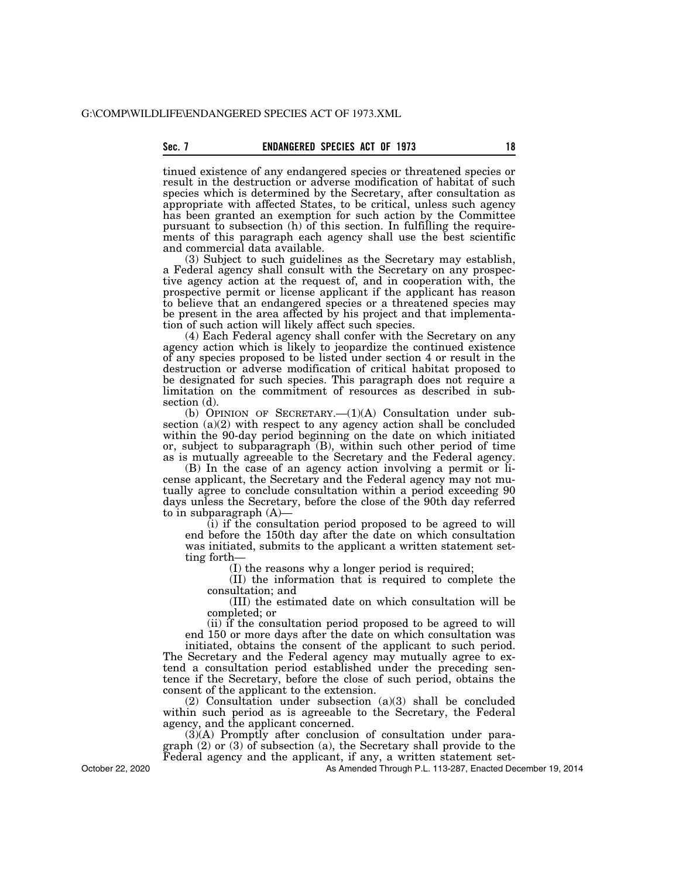tinued existence of any endangered species or threatened species or result in the destruction or adverse modification of habitat of such species which is determined by the Secretary, after consultation as appropriate with affected States, to be critical, unless such agency has been granted an exemption for such action by the Committee pursuant to subsection (h) of this section. In fulfilling the requirements of this paragraph each agency shall use the best scientific and commercial data available.

(3) Subject to such guidelines as the Secretary may establish, a Federal agency shall consult with the Secretary on any prospective agency action at the request of, and in cooperation with, the prospective permit or license applicant if the applicant has reason to believe that an endangered species or a threatened species may be present in the area affected by his project and that implementation of such action will likely affect such species.

(4) Each Federal agency shall confer with the Secretary on any agency action which is likely to jeopardize the continued existence of any species proposed to be listed under section 4 or result in the destruction or adverse modification of critical habitat proposed to be designated for such species. This paragraph does not require a limitation on the commitment of resources as described in subsection (d).

(b) OPINION OF SECRETARY.—(1)(A) Consultation under subsection (a)(2) with respect to any agency action shall be concluded within the 90-day period beginning on the date on which initiated or, subject to subparagraph (B), within such other period of time as is mutually agreeable to the Secretary and the Federal agency.

(B) In the case of an agency action involving a permit or license applicant, the Secretary and the Federal agency may not mutually agree to conclude consultation within a period exceeding 90 days unless the Secretary, before the close of the 90th day referred to in subparagraph (A)—

(i) if the consultation period proposed to be agreed to will end before the 150th day after the date on which consultation was initiated, submits to the applicant a written statement setting forth—

(I) the reasons why a longer period is required;

(II) the information that is required to complete the consultation; and

(III) the estimated date on which consultation will be completed; or

(ii) if the consultation period proposed to be agreed to will end 150 or more days after the date on which consultation was

initiated, obtains the consent of the applicant to such period. The Secretary and the Federal agency may mutually agree to extend a consultation period established under the preceding sentence if the Secretary, before the close of such period, obtains the consent of the applicant to the extension.

(2) Consultation under subsection (a)(3) shall be concluded within such period as is agreeable to the Secretary, the Federal agency, and the applicant concerned.

(3)(A) Promptly after conclusion of consultation under paragraph (2) or (3) of subsection (a), the Secretary shall provide to the Federal agency and the applicant, if any, a written statement set-

As Amended Through P.L. 113-287, Enacted December 19, 2014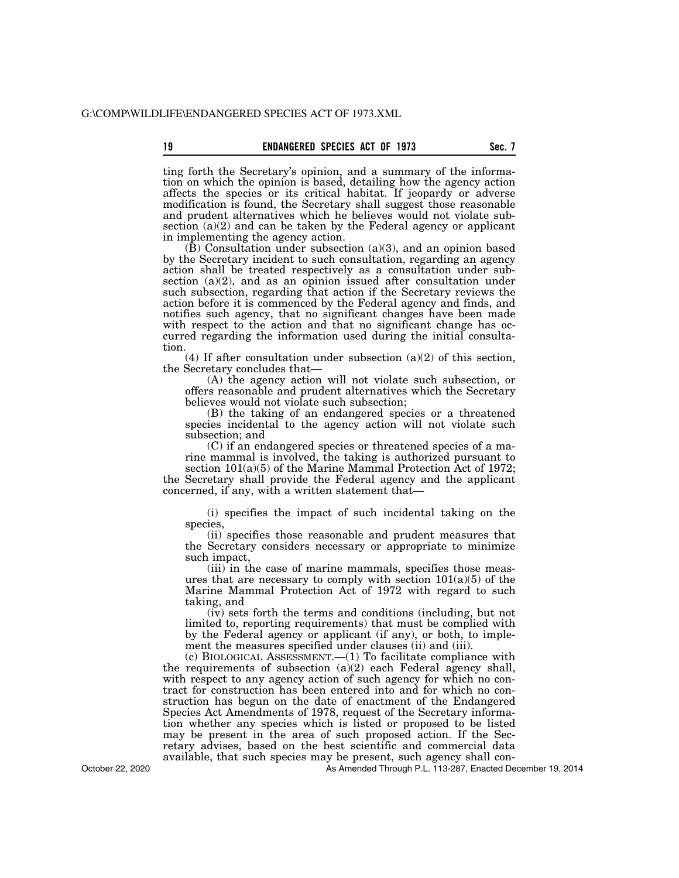ting forth the Secretary's opinion, and a summary of the information on which the opinion is based, detailing how the agency action affects the species or its critical habitat. If jeopardy or adverse modification is found, the Secretary shall suggest those reasonable and prudent alternatives which he believes would not violate subsection  $(a)(2)$  and can be taken by the Federal agency or applicant in implementing the agency action.

(B) Consultation under subsection (a)(3), and an opinion based by the Secretary incident to such consultation, regarding an agency action shall be treated respectively as a consultation under subsection (a)(2), and as an opinion issued after consultation under such subsection, regarding that action if the Secretary reviews the action before it is commenced by the Federal agency and finds, and notifies such agency, that no significant changes have been made with respect to the action and that no significant change has occurred regarding the information used during the initial consultation.

(4) If after consultation under subsection (a)(2) of this section, the Secretary concludes that—

(A) the agency action will not violate such subsection, or offers reasonable and prudent alternatives which the Secretary believes would not violate such subsection;

(B) the taking of an endangered species or a threatened species incidental to the agency action will not violate such subsection; and

(C) if an endangered species or threatened species of a marine mammal is involved, the taking is authorized pursuant to section  $101(a)(5)$  of the Marine Mammal Protection Act of 1972; the Secretary shall provide the Federal agency and the applicant concerned, if any, with a written statement that—

(i) specifies the impact of such incidental taking on the species,

(ii) specifies those reasonable and prudent measures that the Secretary considers necessary or appropriate to minimize such impact,

(iii) in the case of marine mammals, specifies those measures that are necessary to comply with section  $101(a)(5)$  of the Marine Mammal Protection Act of 1972 with regard to such taking, and

(iv) sets forth the terms and conditions (including, but not limited to, reporting requirements) that must be complied with by the Federal agency or applicant (if any), or both, to implement the measures specified under clauses (ii) and (iii).

(c) BIOLOGICAL ASSESSMENT.—(1) To facilitate compliance with the requirements of subsection  $(a)(2)$  each Federal agency shall, with respect to any agency action of such agency for which no contract for construction has been entered into and for which no construction has begun on the date of enactment of the Endangered Species Act Amendments of 1978, request of the Secretary information whether any species which is listed or proposed to be listed may be present in the area of such proposed action. If the Secretary advises, based on the best scientific and commercial data available, that such species may be present, such agency shall con-

As Amended Through P.L. 113-287, Enacted December 19, 2014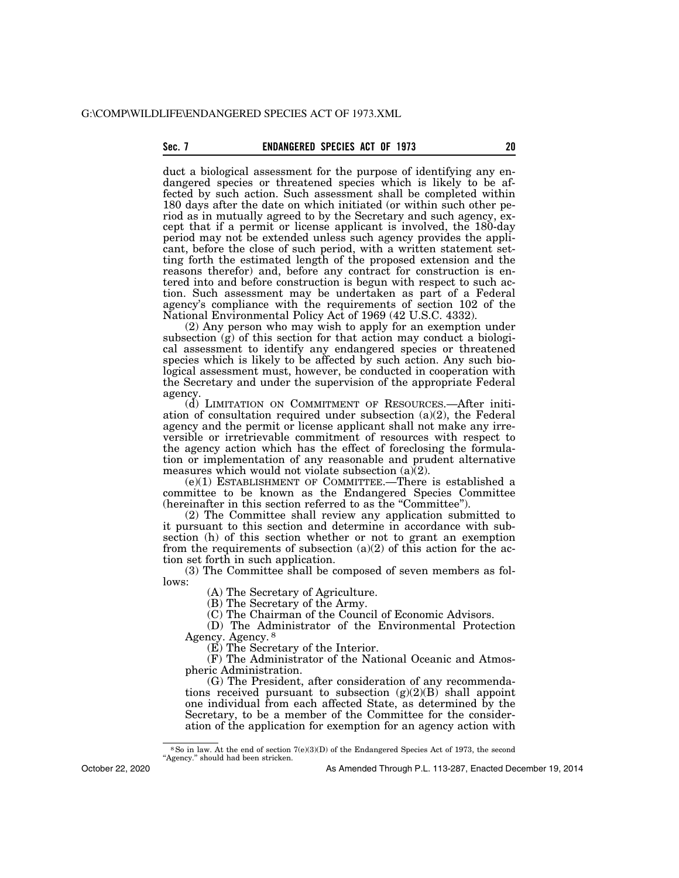**Sec. 7 ENDANGERED SPECIES ACT OF 1973 20** 

duct a biological assessment for the purpose of identifying any endangered species or threatened species which is likely to be affected by such action. Such assessment shall be completed within 180 days after the date on which initiated (or within such other period as in mutually agreed to by the Secretary and such agency, except that if a permit or license applicant is involved, the 180-day period may not be extended unless such agency provides the applicant, before the close of such period, with a written statement setting forth the estimated length of the proposed extension and the reasons therefor) and, before any contract for construction is entered into and before construction is begun with respect to such action. Such assessment may be undertaken as part of a Federal agency's compliance with the requirements of section 102 of the National Environmental Policy Act of 1969 (42 U.S.C. 4332).

(2) Any person who may wish to apply for an exemption under subsection (g) of this section for that action may conduct a biological assessment to identify any endangered species or threatened species which is likely to be affected by such action. Any such biological assessment must, however, be conducted in cooperation with the Secretary and under the supervision of the appropriate Federal agency.

(d) LIMITATION ON COMMITMENT OF RESOURCES.—After initiation of consultation required under subsection (a)(2), the Federal agency and the permit or license applicant shall not make any irreversible or irretrievable commitment of resources with respect to the agency action which has the effect of foreclosing the formulation or implementation of any reasonable and prudent alternative measures which would not violate subsection  $(a)$  $(2)$ .

(e)(1) ESTABLISHMENT OF COMMITTEE.—There is established a committee to be known as the Endangered Species Committee (hereinafter in this section referred to as the ''Committee'').

(2) The Committee shall review any application submitted to it pursuant to this section and determine in accordance with subsection (h) of this section whether or not to grant an exemption from the requirements of subsection  $(a)(2)$  of this action for the action set forth in such application.

(3) The Committee shall be composed of seven members as follows:

(A) The Secretary of Agriculture.

(B) The Secretary of the Army.

(C) The Chairman of the Council of Economic Advisors.

(D) The Administrator of the Environmental Protection Agency. Agency. 8

(E) The Secretary of the Interior.

(F) The Administrator of the National Oceanic and Atmospheric Administration.

(G) The President, after consideration of any recommendations received pursuant to subsection  $(g)(2)(B)$  shall appoint one individual from each affected State, as determined by the Secretary, to be a member of the Committee for the consideration of the application for exemption for an agency action with

October 22, 2020

 $8$ So in law. At the end of section  $7(e)(3)(D)$  of the Endangered Species Act of 1973, the second "Agency." should had been stricken.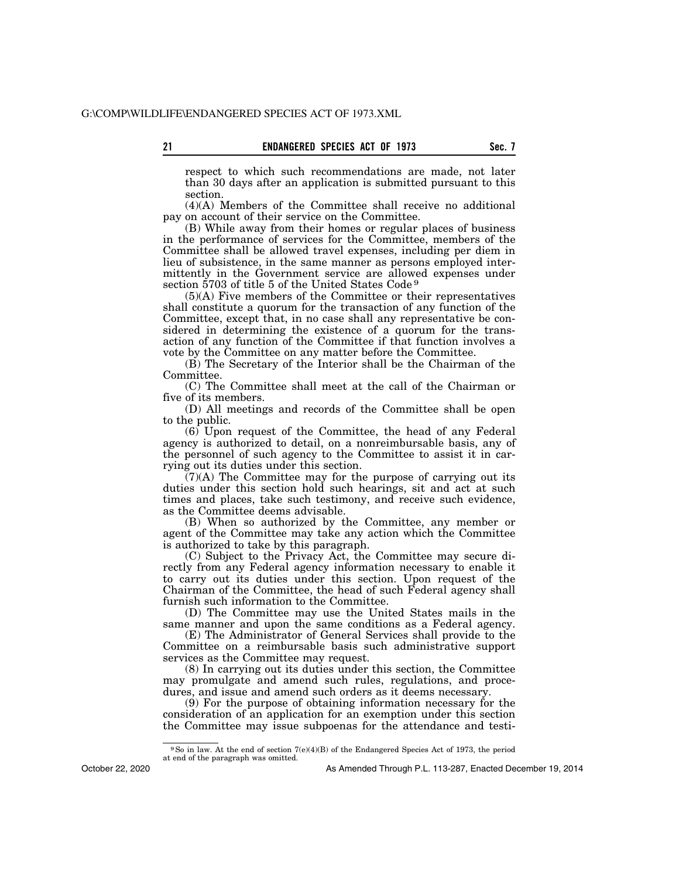respect to which such recommendations are made, not later than 30 days after an application is submitted pursuant to this section.

(4)(A) Members of the Committee shall receive no additional pay on account of their service on the Committee.

(B) While away from their homes or regular places of business in the performance of services for the Committee, members of the Committee shall be allowed travel expenses, including per diem in lieu of subsistence, in the same manner as persons employed intermittently in the Government service are allowed expenses under section 5703 of title 5 of the United States Code 9

(5)(A) Five members of the Committee or their representatives shall constitute a quorum for the transaction of any function of the Committee, except that, in no case shall any representative be considered in determining the existence of a quorum for the transaction of any function of the Committee if that function involves a vote by the Committee on any matter before the Committee.

(B) The Secretary of the Interior shall be the Chairman of the Committee.

(C) The Committee shall meet at the call of the Chairman or five of its members.

(D) All meetings and records of the Committee shall be open to the public.

(6) Upon request of the Committee, the head of any Federal agency is authorized to detail, on a nonreimbursable basis, any of the personnel of such agency to the Committee to assist it in carrying out its duties under this section.

 $(7)(A)$  The Committee may for the purpose of carrying out its duties under this section hold such hearings, sit and act at such times and places, take such testimony, and receive such evidence, as the Committee deems advisable.

(B) When so authorized by the Committee, any member or agent of the Committee may take any action which the Committee is authorized to take by this paragraph.

(C) Subject to the Privacy Act, the Committee may secure directly from any Federal agency information necessary to enable it to carry out its duties under this section. Upon request of the Chairman of the Committee, the head of such Federal agency shall furnish such information to the Committee.

(D) The Committee may use the United States mails in the same manner and upon the same conditions as a Federal agency.

(E) The Administrator of General Services shall provide to the Committee on a reimbursable basis such administrative support services as the Committee may request.

(8) In carrying out its duties under this section, the Committee may promulgate and amend such rules, regulations, and procedures, and issue and amend such orders as it deems necessary.

(9) For the purpose of obtaining information necessary for the consideration of an application for an exemption under this section the Committee may issue subpoenas for the attendance and testi-

October 22, 2020

 $9$  So in law. At the end of section  $7(e)(4)(B)$  of the Endangered Species Act of 1973, the period at end of the paragraph was omitted.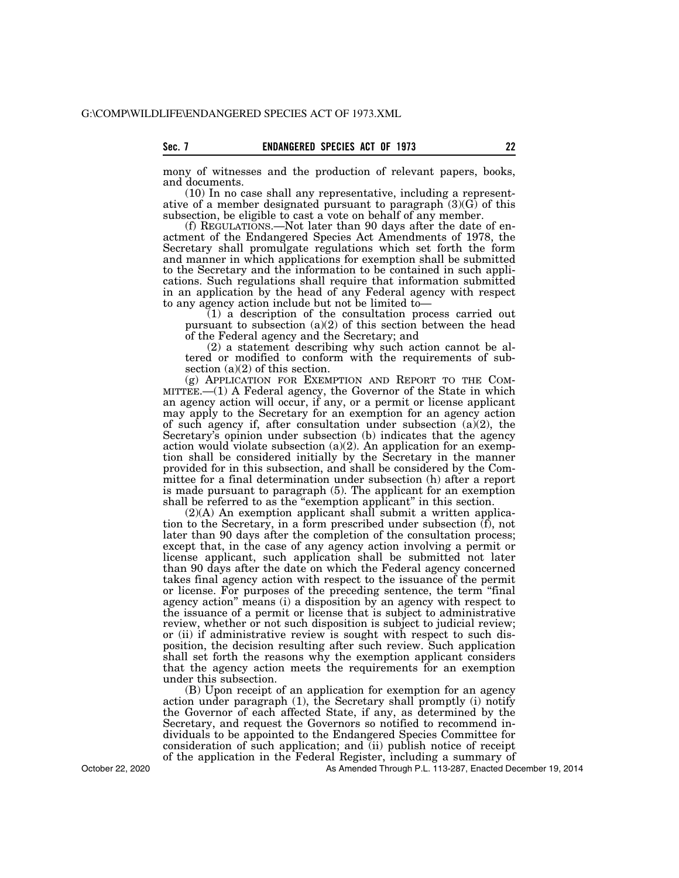mony of witnesses and the production of relevant papers, books, and documents.

(10) In no case shall any representative, including a representative of a member designated pursuant to paragraph  $(3)(G)$  of this subsection, be eligible to cast a vote on behalf of any member.

(f) REGULATIONS.—Not later than 90 days after the date of enactment of the Endangered Species Act Amendments of 1978, the Secretary shall promulgate regulations which set forth the form and manner in which applications for exemption shall be submitted to the Secretary and the information to be contained in such applications. Such regulations shall require that information submitted in an application by the head of any Federal agency with respect to any agency action include but not be limited to—

(1) a description of the consultation process carried out pursuant to subsection  $(a)(2)$  of this section between the head of the Federal agency and the Secretary; and

(2) a statement describing why such action cannot be altered or modified to conform with the requirements of subsection  $(a)(2)$  of this section.<br>(g) APPLICATION FOR EXEMPTION AND REPORT TO THE COM-

 $MITTEE. —(1)$  A Federal agency, the Governor of the State in which an agency action will occur, if any, or a permit or license applicant may apply to the Secretary for an exemption for an agency action of such agency if, after consultation under subsection  $(a)(2)$ , the Secretary's opinion under subsection (b) indicates that the agency action would violate subsection  $(a)(2)$ . An application for an exemption shall be considered initially by the Secretary in the manner provided for in this subsection, and shall be considered by the Committee for a final determination under subsection (h) after a report is made pursuant to paragraph (5). The applicant for an exemption shall be referred to as the "exemption applicant" in this section.

 $(2)(A)$  An exemption applicant shall submit a written application to the Secretary, in a form prescribed under subsection (f), not later than 90 days after the completion of the consultation process; except that, in the case of any agency action involving a permit or license applicant, such application shall be submitted not later than 90 days after the date on which the Federal agency concerned takes final agency action with respect to the issuance of the permit or license. For purposes of the preceding sentence, the term ''final agency action'' means (i) a disposition by an agency with respect to the issuance of a permit or license that is subject to administrative review, whether or not such disposition is subject to judicial review; or (ii) if administrative review is sought with respect to such disposition, the decision resulting after such review. Such application shall set forth the reasons why the exemption applicant considers that the agency action meets the requirements for an exemption under this subsection.

(B) Upon receipt of an application for exemption for an agency action under paragraph (1), the Secretary shall promptly (i) notify the Governor of each affected State, if any, as determined by the Secretary, and request the Governors so notified to recommend individuals to be appointed to the Endangered Species Committee for consideration of such application; and (ii) publish notice of receipt of the application in the Federal Register, including a summary of

As Amended Through P.L. 113-287, Enacted December 19, 2014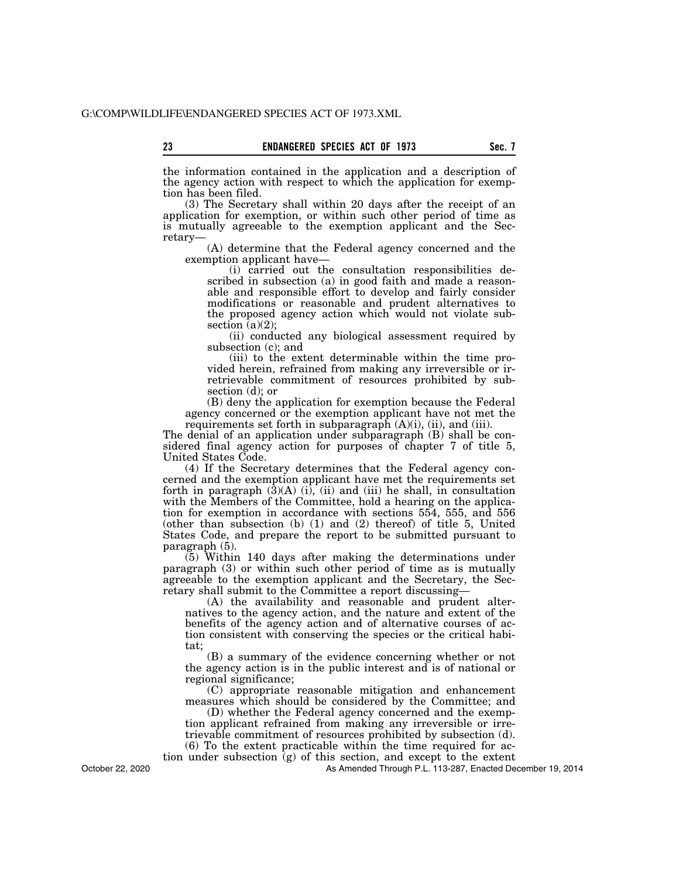the information contained in the application and a description of the agency action with respect to which the application for exemption has been filed.

(3) The Secretary shall within 20 days after the receipt of an application for exemption, or within such other period of time as is mutually agreeable to the exemption applicant and the Secretary—

(A) determine that the Federal agency concerned and the exemption applicant have—

(i) carried out the consultation responsibilities described in subsection (a) in good faith and made a reasonable and responsible effort to develop and fairly consider modifications or reasonable and prudent alternatives to the proposed agency action which would not violate subsection  $(a)(2)$ ;

(ii) conducted any biological assessment required by subsection (c); and

(iii) to the extent determinable within the time provided herein, refrained from making any irreversible or irretrievable commitment of resources prohibited by subsection (d); or

(B) deny the application for exemption because the Federal agency concerned or the exemption applicant have not met the requirements set forth in subparagraph  $(A)(i)$ ,  $(ii)$ , and  $(iii)$ .

The denial of an application under subparagraph (B) shall be considered final agency action for purposes of chapter 7 of title 5, United States Code.

(4) If the Secretary determines that the Federal agency concerned and the exemption applicant have met the requirements set forth in paragraph  $(3)(A)$   $(i)$ ,  $(ii)$  and  $(iii)$  he shall, in consultation with the Members of the Committee, hold a hearing on the application for exemption in accordance with sections 554, 555, and 556 (other than subsection (b) (1) and (2) thereof) of title 5, United States Code, and prepare the report to be submitted pursuant to paragraph (5).

(5) Within 140 days after making the determinations under paragraph (3) or within such other period of time as is mutually agreeable to the exemption applicant and the Secretary, the Secretary shall submit to the Committee a report discussing—

(A) the availability and reasonable and prudent alternatives to the agency action, and the nature and extent of the benefits of the agency action and of alternative courses of action consistent with conserving the species or the critical habitat;

(B) a summary of the evidence concerning whether or not the agency action is in the public interest and is of national or regional significance;

(C) appropriate reasonable mitigation and enhancement measures which should be considered by the Committee; and

(D) whether the Federal agency concerned and the exemption applicant refrained from making any irreversible or irretrievable commitment of resources prohibited by subsection (d).

(6) To the extent practicable within the time required for ac-

tion under subsection (g) of this section, and except to the extent

As Amended Through P.L. 113-287, Enacted December 19, 2014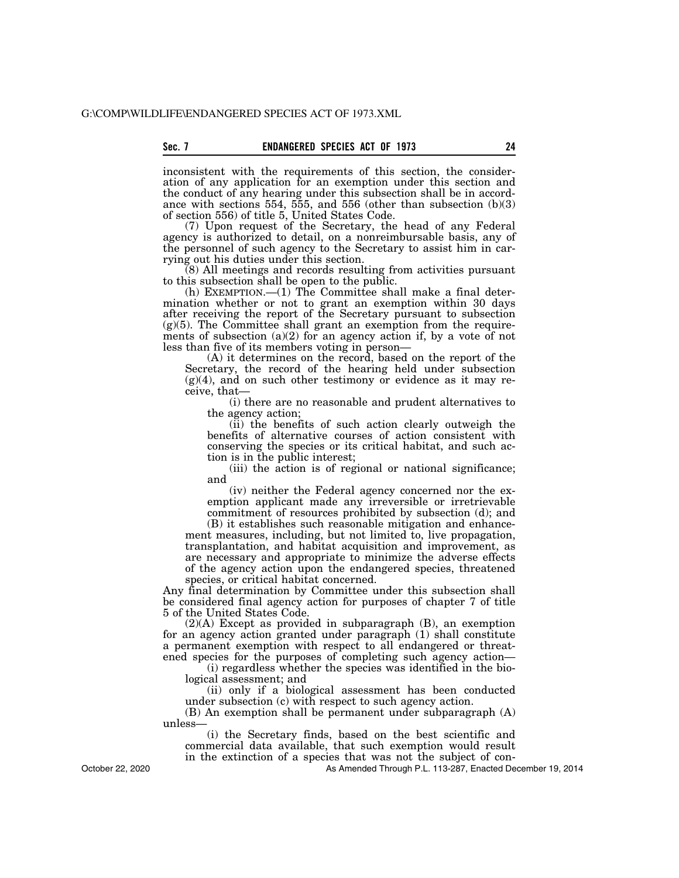inconsistent with the requirements of this section, the consideration of any application for an exemption under this section and the conduct of any hearing under this subsection shall be in accordance with sections 554, 555, and 556 (other than subsection (b)(3) of section 556) of title 5, United States Code.

(7) Upon request of the Secretary, the head of any Federal agency is authorized to detail, on a nonreimbursable basis, any of the personnel of such agency to the Secretary to assist him in carrying out his duties under this section.

(8) All meetings and records resulting from activities pursuant to this subsection shall be open to the public.

 $(h)$  EXEMPTION.— $(1)$  The Committee shall make a final determination whether or not to grant an exemption within 30 days after receiving the report of the Secretary pursuant to subsection  $(g)(5)$ . The Committee shall grant an exemption from the requirements of subsection  $(a)(2)$  for an agency action if, by a vote of not less than five of its members voting in person—

(A) it determines on the record, based on the report of the Secretary, the record of the hearing held under subsection  $(g)(4)$ , and on such other testimony or evidence as it may receive, that—

(i) there are no reasonable and prudent alternatives to the agency action;

(ii) the benefits of such action clearly outweigh the benefits of alternative courses of action consistent with conserving the species or its critical habitat, and such action is in the public interest;

(iii) the action is of regional or national significance; and

(iv) neither the Federal agency concerned nor the exemption applicant made any irreversible or irretrievable commitment of resources prohibited by subsection (d); and

(B) it establishes such reasonable mitigation and enhancement measures, including, but not limited to, live propagation, transplantation, and habitat acquisition and improvement, as are necessary and appropriate to minimize the adverse effects of the agency action upon the endangered species, threatened species, or critical habitat concerned.

Any final determination by Committee under this subsection shall be considered final agency action for purposes of chapter 7 of title 5 of the United States Code.

(2)(A) Except as provided in subparagraph (B), an exemption for an agency action granted under paragraph (1) shall constitute a permanent exemption with respect to all endangered or threatened species for the purposes of completing such agency action—

(i) regardless whether the species was identified in the biological assessment; and

(ii) only if a biological assessment has been conducted under subsection (c) with respect to such agency action.

(B) An exemption shall be permanent under subparagraph (A) unless—

(i) the Secretary finds, based on the best scientific and commercial data available, that such exemption would result

in the extinction of a species that was not the subject of con-

As Amended Through P.L. 113-287, Enacted December 19, 2014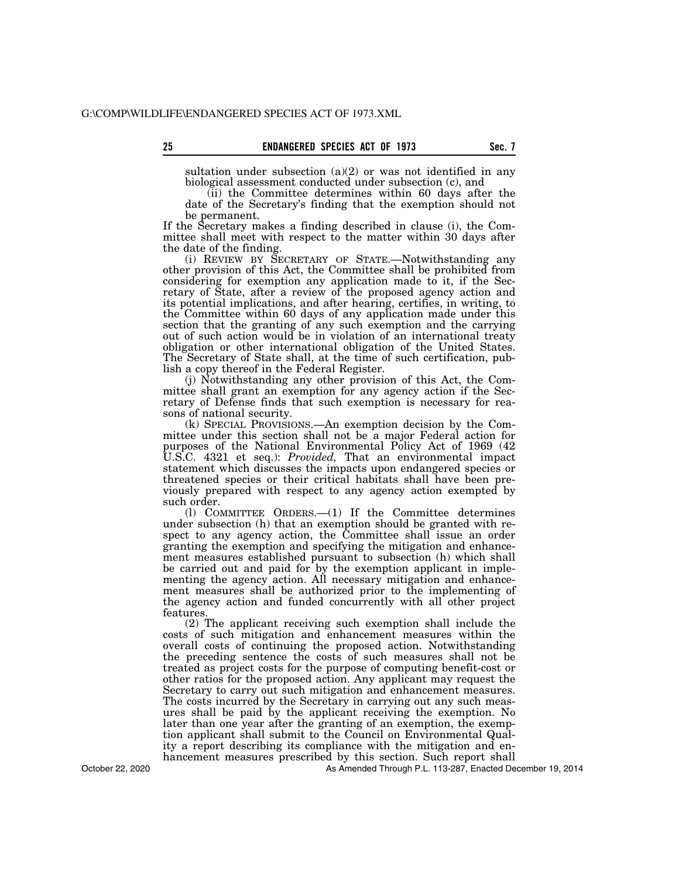sultation under subsection  $(a)(2)$  or was not identified in any biological assessment conducted under subsection (c), and

(ii) the Committee determines within 60 days after the date of the Secretary's finding that the exemption should not be permanent.

If the Secretary makes a finding described in clause (i), the Committee shall meet with respect to the matter within 30 days after the date of the finding.

(i) REVIEW BY SECRETARY OF STATE.—Notwithstanding any other provision of this Act, the Committee shall be prohibited from considering for exemption any application made to it, if the Secretary of State, after a review of the proposed agency action and its potential implications, and after hearing, certifies, in writing, to the Committee within 60 days of any application made under this section that the granting of any such exemption and the carrying out of such action would be in violation of an international treaty obligation or other international obligation of the United States. The Secretary of State shall, at the time of such certification, publish a copy thereof in the Federal Register.

(j) Notwithstanding any other provision of this Act, the Committee shall grant an exemption for any agency action if the Secretary of Defense finds that such exemption is necessary for reasons of national security.

(k) SPECIAL PROVISIONS.—An exemption decision by the Committee under this section shall not be a major Federal action for purposes of the National Environmental Policy Act of 1969 (42 U.S.C. 4321 et seq.): *Provided,* That an environmental impact statement which discusses the impacts upon endangered species or threatened species or their critical habitats shall have been previously prepared with respect to any agency action exempted by such order.

(l) COMMITTEE ORDERS.—(1) If the Committee determines under subsection (h) that an exemption should be granted with respect to any agency action, the Committee shall issue an order granting the exemption and specifying the mitigation and enhancement measures established pursuant to subsection (h) which shall be carried out and paid for by the exemption applicant in implementing the agency action. All necessary mitigation and enhancement measures shall be authorized prior to the implementing of the agency action and funded concurrently with all other project features.

(2) The applicant receiving such exemption shall include the costs of such mitigation and enhancement measures within the overall costs of continuing the proposed action. Notwithstanding the preceding sentence the costs of such measures shall not be treated as project costs for the purpose of computing benefit-cost or other ratios for the proposed action. Any applicant may request the Secretary to carry out such mitigation and enhancement measures. The costs incurred by the Secretary in carrying out any such measures shall be paid by the applicant receiving the exemption. No later than one year after the granting of an exemption, the exemption applicant shall submit to the Council on Environmental Quality a report describing its compliance with the mitigation and enhancement measures prescribed by this section. Such report shall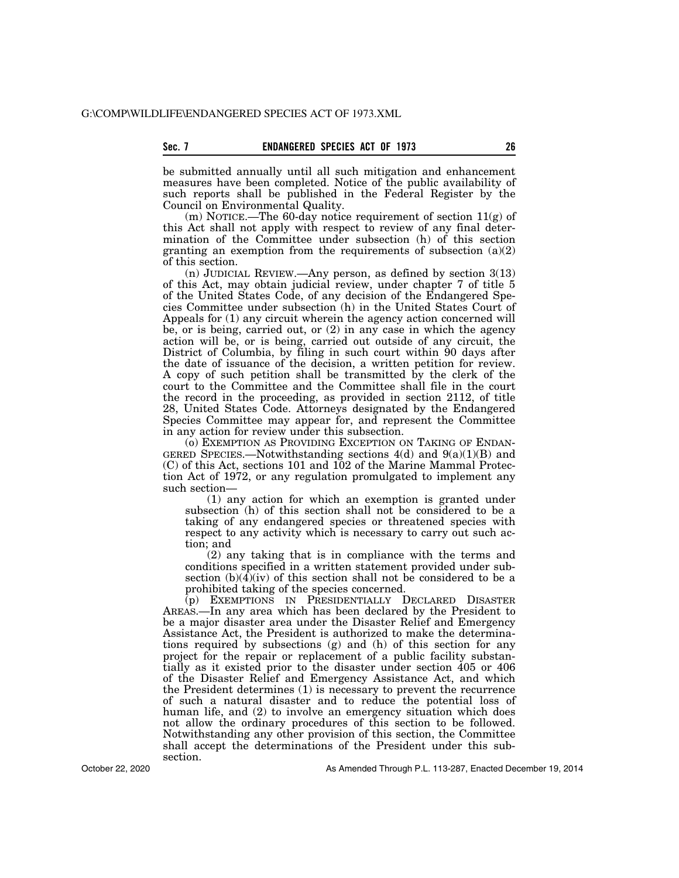be submitted annually until all such mitigation and enhancement measures have been completed. Notice of the public availability of such reports shall be published in the Federal Register by the Council on Environmental Quality.

 $(m)$  NOTICE.—The 60-day notice requirement of section  $11(g)$  of this Act shall not apply with respect to review of any final determination of the Committee under subsection (h) of this section granting an exemption from the requirements of subsection  $(a)(2)$ of this section.

(n) JUDICIAL REVIEW.—Any person, as defined by section 3(13) of this Act, may obtain judicial review, under chapter 7 of title 5 of the United States Code, of any decision of the Endangered Species Committee under subsection (h) in the United States Court of Appeals for (1) any circuit wherein the agency action concerned will be, or is being, carried out, or (2) in any case in which the agency action will be, or is being, carried out outside of any circuit, the District of Columbia, by filing in such court within 90 days after the date of issuance of the decision, a written petition for review. A copy of such petition shall be transmitted by the clerk of the court to the Committee and the Committee shall file in the court the record in the proceeding, as provided in section 2112, of title 28, United States Code. Attorneys designated by the Endangered Species Committee may appear for, and represent the Committee in any action for review under this subsection.

(o) EXEMPTION AS PROVIDING EXCEPTION ON TAKING OF ENDAN-GERED SPECIES.—Notwithstanding sections  $4(d)$  and  $9(a)(1)(B)$  and (C) of this Act, sections 101 and 102 of the Marine Mammal Protection Act of 1972, or any regulation promulgated to implement any such section—

(1) any action for which an exemption is granted under subsection (h) of this section shall not be considered to be a taking of any endangered species or threatened species with respect to any activity which is necessary to carry out such action; and

(2) any taking that is in compliance with the terms and conditions specified in a written statement provided under subsection  $(b)(4)(iv)$  of this section shall not be considered to be a prohibited taking of the species concerned.

(p) EXEMPTIONS IN PRESIDENTIALLY DECLARED DISASTER AREAS.—In any area which has been declared by the President to be a major disaster area under the Disaster Relief and Emergency Assistance Act, the President is authorized to make the determinations required by subsections (g) and (h) of this section for any project for the repair or replacement of a public facility substantially as it existed prior to the disaster under section 405 or 406 of the Disaster Relief and Emergency Assistance Act, and which the President determines (1) is necessary to prevent the recurrence of such a natural disaster and to reduce the potential loss of human life, and (2) to involve an emergency situation which does not allow the ordinary procedures of this section to be followed. Notwithstanding any other provision of this section, the Committee shall accept the determinations of the President under this subsection.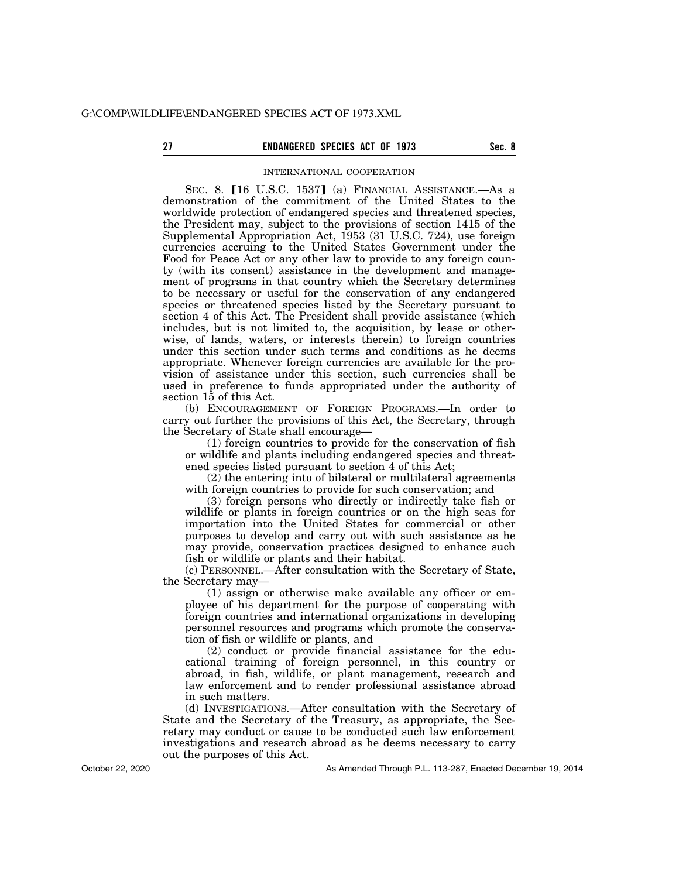# **27 Sec. 8 ENDANGERED SPECIES ACT OF 1973**

### INTERNATIONAL COOPERATION

SEC. 8. [16 U.S.C. 1537] (a) FINANCIAL ASSISTANCE.—As a demonstration of the commitment of the United States to the worldwide protection of endangered species and threatened species, the President may, subject to the provisions of section 1415 of the Supplemental Appropriation Act, 1953 (31 U.S.C. 724), use foreign currencies accruing to the United States Government under the Food for Peace Act or any other law to provide to any foreign county (with its consent) assistance in the development and management of programs in that country which the Secretary determines to be necessary or useful for the conservation of any endangered species or threatened species listed by the Secretary pursuant to section 4 of this Act. The President shall provide assistance (which includes, but is not limited to, the acquisition, by lease or otherwise, of lands, waters, or interests therein) to foreign countries under this section under such terms and conditions as he deems appropriate. Whenever foreign currencies are available for the provision of assistance under this section, such currencies shall be used in preference to funds appropriated under the authority of section 15 of this Act.

(b) ENCOURAGEMENT OF FOREIGN PROGRAMS.—In order to carry out further the provisions of this Act, the Secretary, through the Secretary of State shall encourage—

(1) foreign countries to provide for the conservation of fish or wildlife and plants including endangered species and threatened species listed pursuant to section 4 of this Act;

 $(2)$  the entering into of bilateral or multilateral agreements with foreign countries to provide for such conservation; and

(3) foreign persons who directly or indirectly take fish or wildlife or plants in foreign countries or on the high seas for importation into the United States for commercial or other purposes to develop and carry out with such assistance as he may provide, conservation practices designed to enhance such fish or wildlife or plants and their habitat.

(c) PERSONNEL.—After consultation with the Secretary of State, the Secretary may—

(1) assign or otherwise make available any officer or employee of his department for the purpose of cooperating with foreign countries and international organizations in developing personnel resources and programs which promote the conservation of fish or wildlife or plants, and

(2) conduct or provide financial assistance for the educational training of foreign personnel, in this country or abroad, in fish, wildlife, or plant management, research and law enforcement and to render professional assistance abroad in such matters.

(d) INVESTIGATIONS.—After consultation with the Secretary of State and the Secretary of the Treasury, as appropriate, the Secretary may conduct or cause to be conducted such law enforcement investigations and research abroad as he deems necessary to carry out the purposes of this Act.

October 22, 2020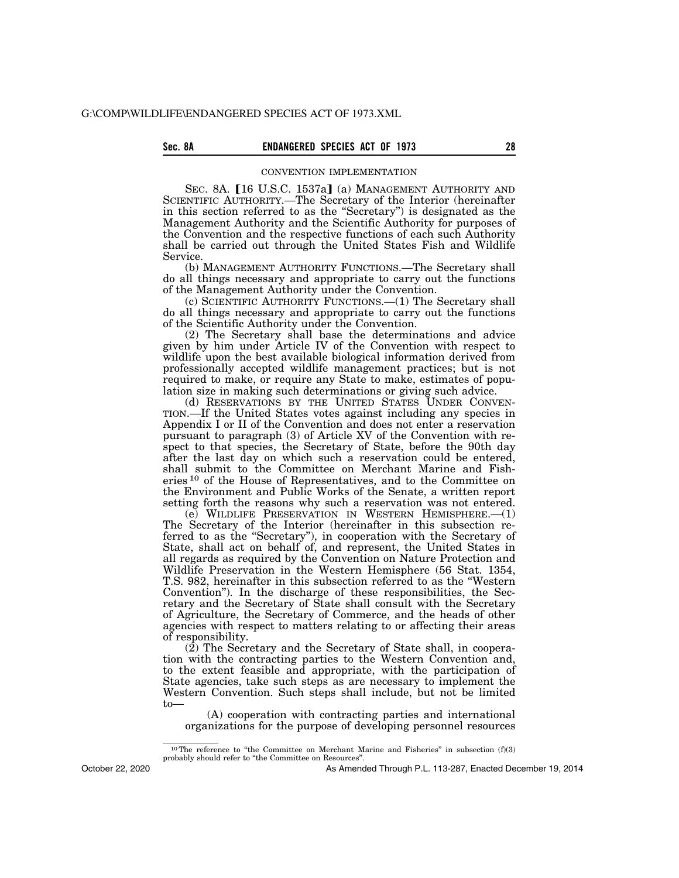### CONVENTION IMPLEMENTATION

SEC. 8A. [16 U.S.C. 1537a] (a) MANAGEMENT AUTHORITY AND SCIENTIFIC AUTHORITY.—The Secretary of the Interior (hereinafter in this section referred to as the ''Secretary'') is designated as the Management Authority and the Scientific Authority for purposes of the Convention and the respective functions of each such Authority shall be carried out through the United States Fish and Wildlife Service.

(b) MANAGEMENT AUTHORITY FUNCTIONS.—The Secretary shall do all things necessary and appropriate to carry out the functions of the Management Authority under the Convention.

(c) SCIENTIFIC AUTHORITY FUNCTIONS.—(1) The Secretary shall do all things necessary and appropriate to carry out the functions of the Scientific Authority under the Convention.

(2) The Secretary shall base the determinations and advice given by him under Article IV of the Convention with respect to wildlife upon the best available biological information derived from professionally accepted wildlife management practices; but is not required to make, or require any State to make, estimates of population size in making such determinations or giving such advice.

(d) RESERVATIONS BY THE UNITED STATES UNDER CONVEN-TION.—If the United States votes against including any species in Appendix I or II of the Convention and does not enter a reservation pursuant to paragraph (3) of Article XV of the Convention with respect to that species, the Secretary of State, before the 90th day after the last day on which such a reservation could be entered, shall submit to the Committee on Merchant Marine and Fisheries 10 of the House of Representatives, and to the Committee on the Environment and Public Works of the Senate, a written report setting forth the reasons why such a reservation was not entered.

(e) WILDLIFE PRESERVATION IN WESTERN HEMISPHERE.—(1) The Secretary of the Interior (hereinafter in this subsection referred to as the ''Secretary''), in cooperation with the Secretary of State, shall act on behalf of, and represent, the United States in all regards as required by the Convention on Nature Protection and Wildlife Preservation in the Western Hemisphere (56 Stat. 1354, T.S. 982, hereinafter in this subsection referred to as the ''Western Convention''). In the discharge of these responsibilities, the Secretary and the Secretary of State shall consult with the Secretary of Agriculture, the Secretary of Commerce, and the heads of other agencies with respect to matters relating to or affecting their areas of responsibility.

(2) The Secretary and the Secretary of State shall, in cooperation with the contracting parties to the Western Convention and, to the extent feasible and appropriate, with the participation of State agencies, take such steps as are necessary to implement the Western Convention. Such steps shall include, but not be limited to—

(A) cooperation with contracting parties and international organizations for the purpose of developing personnel resources

October 22, 2020

<sup>&</sup>lt;sup>10</sup>The reference to "the Committee on Merchant Marine and Fisheries" in subsection  $(f)(3)$ probably should refer to ''the Committee on Resources''.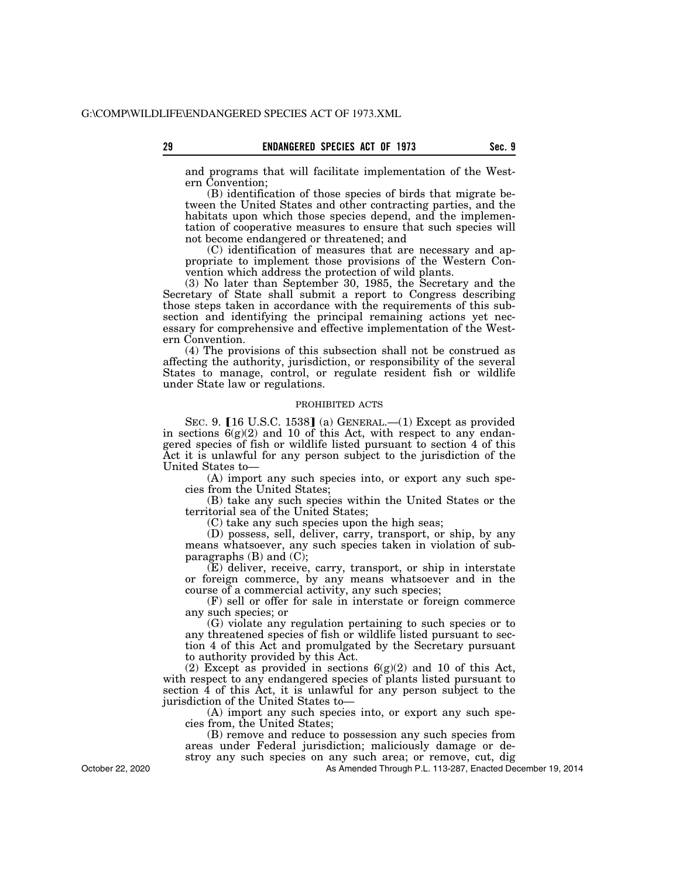and programs that will facilitate implementation of the Western Convention;

(B) identification of those species of birds that migrate between the United States and other contracting parties, and the habitats upon which those species depend, and the implementation of cooperative measures to ensure that such species will not become endangered or threatened; and

(C) identification of measures that are necessary and appropriate to implement those provisions of the Western Convention which address the protection of wild plants.

(3) No later than September 30, 1985, the Secretary and the Secretary of State shall submit a report to Congress describing those steps taken in accordance with the requirements of this subsection and identifying the principal remaining actions yet necessary for comprehensive and effective implementation of the Western Convention.

(4) The provisions of this subsection shall not be construed as affecting the authority, jurisdiction, or responsibility of the several States to manage, control, or regulate resident fish or wildlife under State law or regulations.

## PROHIBITED ACTS

SEC. 9.  $[16 \text{ U.S.C. } 1538]$  (a) GENERAL.—(1) Except as provided in sections  $6(g)(2)$  and 10 of this Act, with respect to any endangered species of fish or wildlife listed pursuant to section 4 of this Act it is unlawful for any person subject to the jurisdiction of the United States to—

(A) import any such species into, or export any such species from the United States;

(B) take any such species within the United States or the territorial sea of the United States;

(C) take any such species upon the high seas;

(D) possess, sell, deliver, carry, transport, or ship, by any means whatsoever, any such species taken in violation of subparagraphs  $(B)$  and  $(C)$ ;

(E) deliver, receive, carry, transport, or ship in interstate or foreign commerce, by any means whatsoever and in the course of a commercial activity, any such species;

(F) sell or offer for sale in interstate or foreign commerce any such species; or

(G) violate any regulation pertaining to such species or to any threatened species of fish or wildlife listed pursuant to section 4 of this Act and promulgated by the Secretary pursuant to authority provided by this Act.

(2) Except as provided in sections  $6(g)(2)$  and 10 of this Act, with respect to any endangered species of plants listed pursuant to section  $\overline{4}$  of this Act, it is unlawful for any person subject to the jurisdiction of the United States to—

(A) import any such species into, or export any such species from, the United States;

(B) remove and reduce to possession any such species from areas under Federal jurisdiction; maliciously damage or destroy any such species on any such area; or remove, cut, dig

As Amended Through P.L. 113-287, Enacted December 19, 2014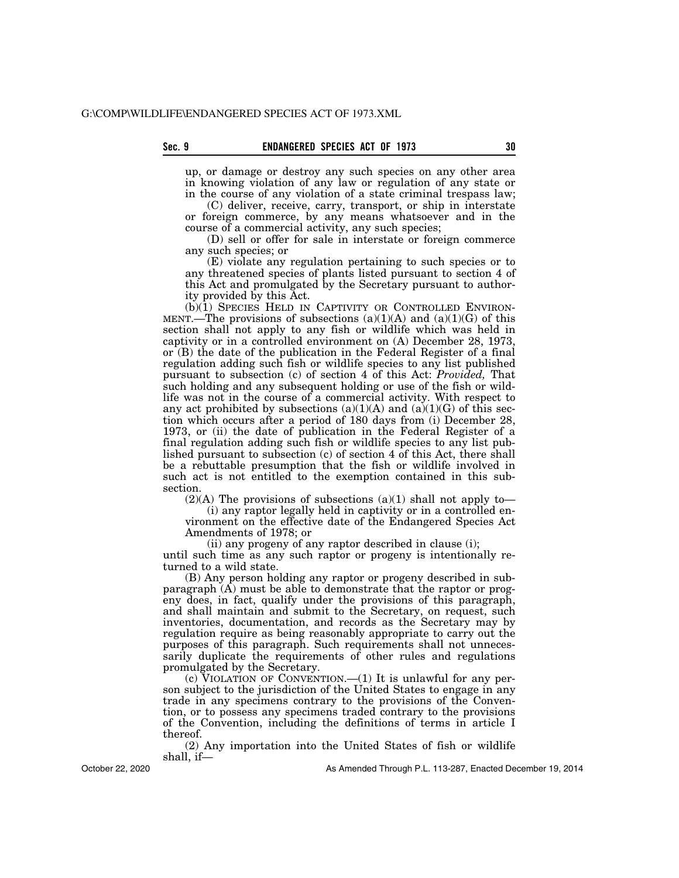up, or damage or destroy any such species on any other area in knowing violation of any law or regulation of any state or in the course of any violation of a state criminal trespass law;

(C) deliver, receive, carry, transport, or ship in interstate or foreign commerce, by any means whatsoever and in the course of a commercial activity, any such species;

(D) sell or offer for sale in interstate or foreign commerce any such species; or

(E) violate any regulation pertaining to such species or to any threatened species of plants listed pursuant to section 4 of this Act and promulgated by the Secretary pursuant to authority provided by this Act.

(b)(1) SPECIES HELD IN CAPTIVITY OR CONTROLLED ENVIRON-MENT.—The provisions of subsections  $(a)(1)(A)$  and  $(a)(1)(G)$  of this section shall not apply to any fish or wildlife which was held in captivity or in a controlled environment on (A) December 28, 1973, or (B) the date of the publication in the Federal Register of a final regulation adding such fish or wildlife species to any list published pursuant to subsection (c) of section 4 of this Act: *Provided,* That such holding and any subsequent holding or use of the fish or wildlife was not in the course of a commercial activity. With respect to any act prohibited by subsections  $(a)(1)(A)$  and  $(a)(1)(G)$  of this section which occurs after a period of 180 days from (i) December 28, 1973, or (ii) the date of publication in the Federal Register of a final regulation adding such fish or wildlife species to any list published pursuant to subsection (c) of section 4 of this Act, there shall be a rebuttable presumption that the fish or wildlife involved in such act is not entitled to the exemption contained in this subsection.

 $(2)(A)$  The provisions of subsections  $(a)(1)$  shall not apply to-

(i) any raptor legally held in captivity or in a controlled environment on the effective date of the Endangered Species Act Amendments of 1978; or

(ii) any progeny of any raptor described in clause (i);

until such time as any such raptor or progeny is intentionally returned to a wild state.

(B) Any person holding any raptor or progeny described in subparagraph (A) must be able to demonstrate that the raptor or progeny does, in fact, qualify under the provisions of this paragraph, and shall maintain and submit to the Secretary, on request, such inventories, documentation, and records as the Secretary may by regulation require as being reasonably appropriate to carry out the purposes of this paragraph. Such requirements shall not unnecessarily duplicate the requirements of other rules and regulations promulgated by the Secretary.

 $(c)$  VIOLATION OF CONVENTION.— $(1)$  It is unlawful for any person subject to the jurisdiction of the United States to engage in any trade in any specimens contrary to the provisions of the Convention, or to possess any specimens traded contrary to the provisions of the Convention, including the definitions of terms in article I thereof.

(2) Any importation into the United States of fish or wildlife shall, if—

As Amended Through P.L. 113-287, Enacted December 19, 2014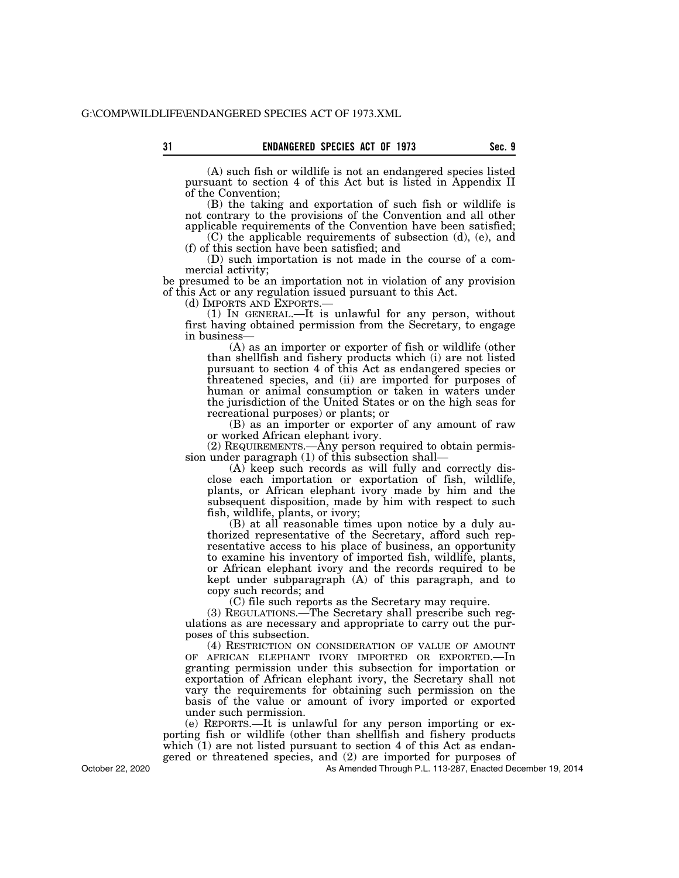(A) such fish or wildlife is not an endangered species listed pursuant to section 4 of this Act but is listed in Appendix II of the Convention;

(B) the taking and exportation of such fish or wildlife is not contrary to the provisions of the Convention and all other applicable requirements of the Convention have been satisfied; (C) the applicable requirements of subsection (d), (e), and

(f) of this section have been satisfied; and

(D) such importation is not made in the course of a commercial activity;

be presumed to be an importation not in violation of any provision of this Act or any regulation issued pursuant to this Act.

(d) IMPORTS AND EXPORTS.— (1) IN GENERAL.—It is unlawful for any person, without first having obtained permission from the Secretary, to engage in business—

(A) as an importer or exporter of fish or wildlife (other than shellfish and fishery products which (i) are not listed pursuant to section 4 of this Act as endangered species or threatened species, and (ii) are imported for purposes of human or animal consumption or taken in waters under the jurisdiction of the United States or on the high seas for recreational purposes) or plants; or

(B) as an importer or exporter of any amount of raw or worked African elephant ivory.

(2) REQUIREMENTS.—Any person required to obtain permission under paragraph (1) of this subsection shall—

(A) keep such records as will fully and correctly disclose each importation or exportation of fish, wildlife, plants, or African elephant ivory made by him and the subsequent disposition, made by him with respect to such fish, wildlife, plants, or ivory;

(B) at all reasonable times upon notice by a duly authorized representative of the Secretary, afford such representative access to his place of business, an opportunity to examine his inventory of imported fish, wildlife, plants, or African elephant ivory and the records required to be kept under subparagraph (A) of this paragraph, and to copy such records; and

(C) file such reports as the Secretary may require.

(3) REGULATIONS.—The Secretary shall prescribe such regulations as are necessary and appropriate to carry out the purposes of this subsection.

(4) RESTRICTION ON CONSIDERATION OF VALUE OF AMOUNT OF AFRICAN ELEPHANT IVORY IMPORTED OR EXPORTED.—In granting permission under this subsection for importation or exportation of African elephant ivory, the Secretary shall not vary the requirements for obtaining such permission on the basis of the value or amount of ivory imported or exported under such permission.

(e) REPORTS.—It is unlawful for any person importing or exporting fish or wildlife (other than shellfish and fishery products which (1) are not listed pursuant to section 4 of this Act as endangered or threatened species, and (2) are imported for purposes of

As Amended Through P.L. 113-287, Enacted December 19, 2014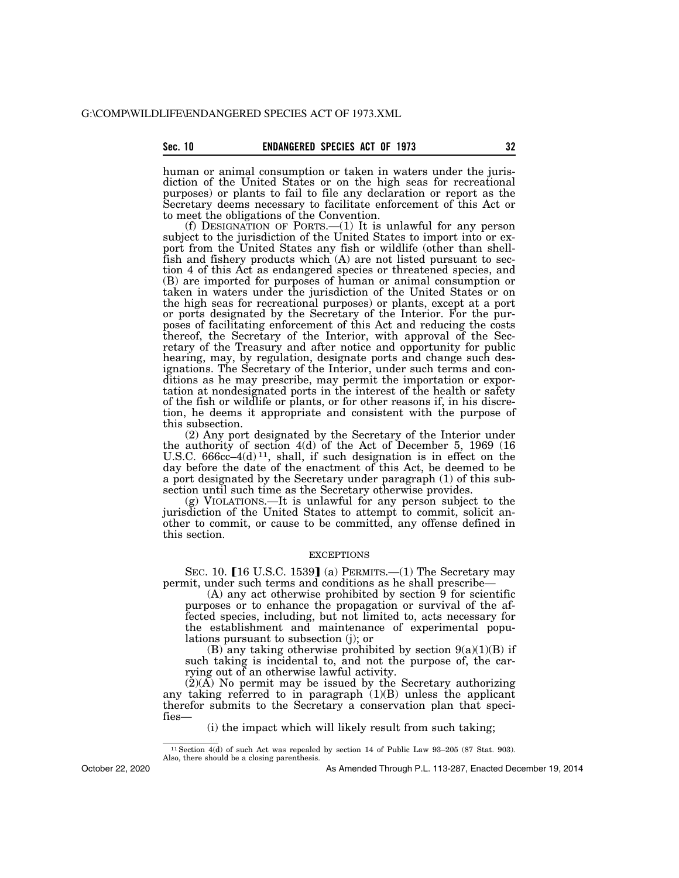## **Sec. 10 ENDANGERED SPECIES ACT OF 1973 32**

human or animal consumption or taken in waters under the jurisdiction of the United States or on the high seas for recreational purposes) or plants to fail to file any declaration or report as the Secretary deems necessary to facilitate enforcement of this Act or to meet the obligations of the Convention.

(f) DESIGNATION OF PORTS.—(1) It is unlawful for any person subject to the jurisdiction of the United States to import into or export from the United States any fish or wildlife (other than shellfish and fishery products which (A) are not listed pursuant to section 4 of this Act as endangered species or threatened species, and (B) are imported for purposes of human or animal consumption or taken in waters under the jurisdiction of the United States or on the high seas for recreational purposes) or plants, except at a port or ports designated by the Secretary of the Interior. For the purposes of facilitating enforcement of this Act and reducing the costs thereof, the Secretary of the Interior, with approval of the Secretary of the Treasury and after notice and opportunity for public hearing, may, by regulation, designate ports and change such designations. The Secretary of the Interior, under such terms and conditions as he may prescribe, may permit the importation or exportation at nondesignated ports in the interest of the health or safety of the fish or wildlife or plants, or for other reasons if, in his discretion, he deems it appropriate and consistent with the purpose of this subsection.

(2) Any port designated by the Secretary of the Interior under the authority of section 4(d) of the Act of December 5, 1969 (16 U.S.C. 666cc-4(d)<sup>11</sup>, shall, if such designation is in effect on the day before the date of the enactment of this Act, be deemed to be a port designated by the Secretary under paragraph (1) of this subsection until such time as the Secretary otherwise provides.

(g) VIOLATIONS.—It is unlawful for any person subject to the jurisdiction of the United States to attempt to commit, solicit another to commit, or cause to be committed, any offense defined in this section.

## **EXCEPTIONS**

SEC. 10.  $[16 \text{ U.S.C. } 1539]$  (a) PERMITS.—(1) The Secretary may permit, under such terms and conditions as he shall prescribe—

(A) any act otherwise prohibited by section 9 for scientific purposes or to enhance the propagation or survival of the affected species, including, but not limited to, acts necessary for the establishment and maintenance of experimental populations pursuant to subsection (j); or

 $(B)$  any taking otherwise prohibited by section  $9(a)(1)(B)$  if such taking is incidental to, and not the purpose of, the carrying out of an otherwise lawful activity.

(2)(A) No permit may be issued by the Secretary authorizing any taking referred to in paragraph  $(1)(B)$  unless the applicant therefor submits to the Secretary a conservation plan that specifies—

(i) the impact which will likely result from such taking;

October 22, 2020

<sup>11</sup>Section 4(d) of such Act was repealed by section 14 of Public Law 93–205 (87 Stat. 903). Also, there should be a closing parenthesis.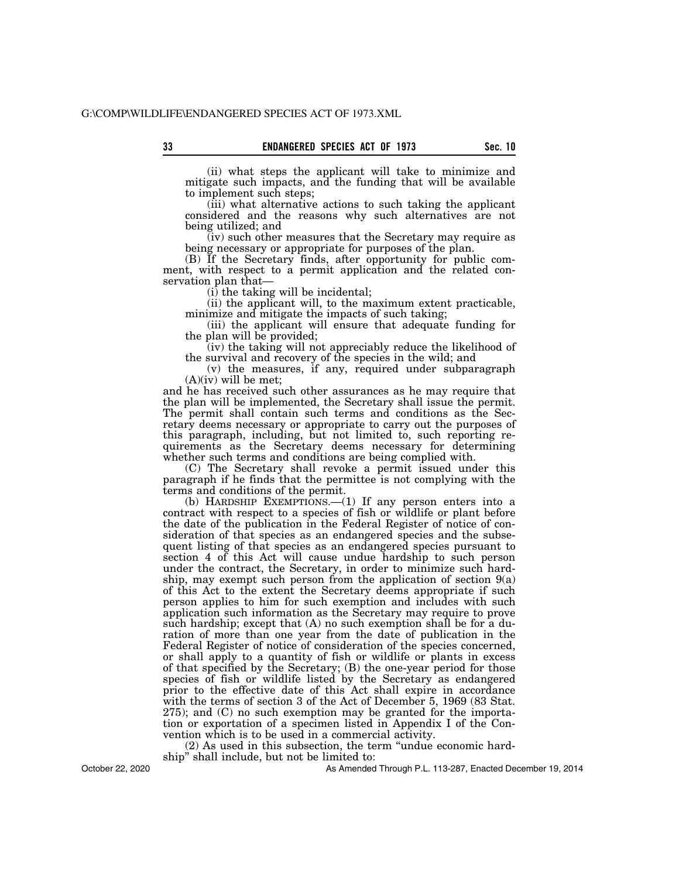(ii) what steps the applicant will take to minimize and mitigate such impacts, and the funding that will be available to implement such steps;

(iii) what alternative actions to such taking the applicant considered and the reasons why such alternatives are not being utilized; and

(iv) such other measures that the Secretary may require as being necessary or appropriate for purposes of the plan.

(B) If the Secretary finds, after opportunity for public comment, with respect to a permit application and the related conservation plan that—

(i) the taking will be incidental;

(ii) the applicant will, to the maximum extent practicable, minimize and mitigate the impacts of such taking;

(iii) the applicant will ensure that adequate funding for the plan will be provided;

(iv) the taking will not appreciably reduce the likelihood of the survival and recovery of the species in the wild; and

(v) the measures, if any, required under subparagraph  $(A)(iv)$  will be met;

and he has received such other assurances as he may require that the plan will be implemented, the Secretary shall issue the permit. The permit shall contain such terms and conditions as the Secretary deems necessary or appropriate to carry out the purposes of this paragraph, including, but not limited to, such reporting requirements as the Secretary deems necessary for determining whether such terms and conditions are being complied with.

(C) The Secretary shall revoke a permit issued under this paragraph if he finds that the permittee is not complying with the terms and conditions of the permit.

(b) HARDSHIP EXEMPTIONS.—(1) If any person enters into a contract with respect to a species of fish or wildlife or plant before the date of the publication in the Federal Register of notice of consideration of that species as an endangered species and the subsequent listing of that species as an endangered species pursuant to section 4 of this Act will cause undue hardship to such person under the contract, the Secretary, in order to minimize such hardship, may exempt such person from the application of section  $9(a)$ of this Act to the extent the Secretary deems appropriate if such person applies to him for such exemption and includes with such application such information as the Secretary may require to prove such hardship; except that (A) no such exemption shall be for a duration of more than one year from the date of publication in the Federal Register of notice of consideration of the species concerned, or shall apply to a quantity of fish or wildlife or plants in excess of that specified by the Secretary; (B) the one-year period for those species of fish or wildlife listed by the Secretary as endangered prior to the effective date of this Act shall expire in accordance with the terms of section 3 of the Act of December 5, 1969 (83 Stat. 275); and (C) no such exemption may be granted for the importation or exportation of a specimen listed in Appendix I of the Convention which is to be used in a commercial activity.

(2) As used in this subsection, the term ''undue economic hardship'' shall include, but not be limited to:

October 22, 2020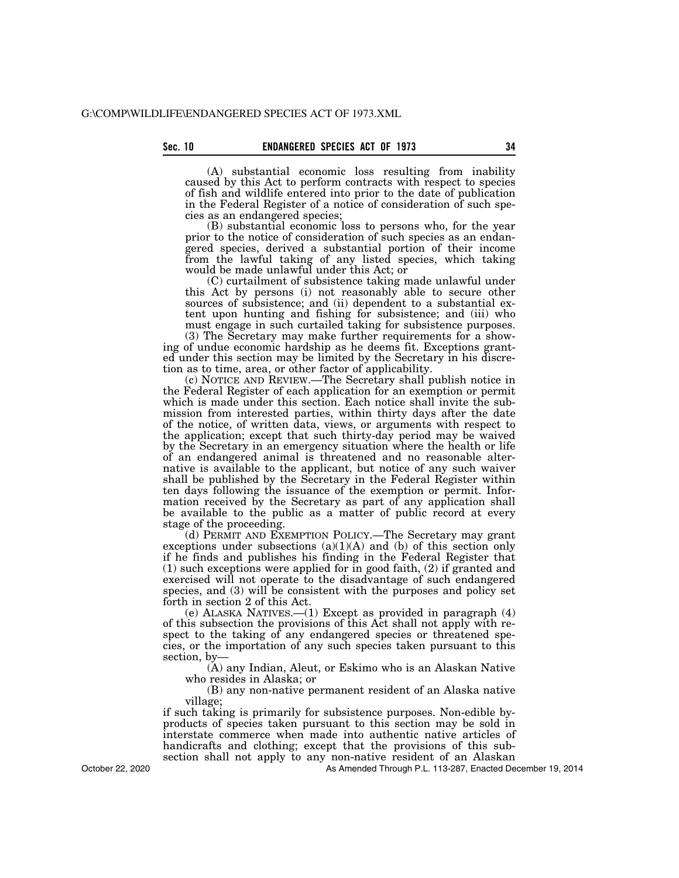(A) substantial economic loss resulting from inability caused by this Act to perform contracts with respect to species of fish and wildlife entered into prior to the date of publication in the Federal Register of a notice of consideration of such species as an endangered species;

(B) substantial economic loss to persons who, for the year prior to the notice of consideration of such species as an endangered species, derived a substantial portion of their income from the lawful taking of any listed species, which taking would be made unlawful under this Act; or

(C) curtailment of subsistence taking made unlawful under this Act by persons (i) not reasonably able to secure other sources of subsistence; and (ii) dependent to a substantial extent upon hunting and fishing for subsistence; and (iii) who must engage in such curtailed taking for subsistence purposes.

(3) The Secretary may make further requirements for a showing of undue economic hardship as he deems fit. Exceptions granted under this section may be limited by the Secretary in his discretion as to time, area, or other factor of applicability.

(c) NOTICE AND REVIEW.—The Secretary shall publish notice in the Federal Register of each application for an exemption or permit which is made under this section. Each notice shall invite the submission from interested parties, within thirty days after the date of the notice, of written data, views, or arguments with respect to the application; except that such thirty-day period may be waived by the Secretary in an emergency situation where the health or life of an endangered animal is threatened and no reasonable alternative is available to the applicant, but notice of any such waiver shall be published by the Secretary in the Federal Register within ten days following the issuance of the exemption or permit. Information received by the Secretary as part of any application shall be available to the public as a matter of public record at every stage of the proceeding.

(d) PERMIT AND EXEMPTION POLICY.—The Secretary may grant exceptions under subsections  $(a)(1)(A)$  and  $(b)$  of this section only if he finds and publishes his finding in the Federal Register that (1) such exceptions were applied for in good faith, (2) if granted and exercised will not operate to the disadvantage of such endangered species, and (3) will be consistent with the purposes and policy set forth in section 2 of this Act.

(e) ALASKA NATIVES.—(1) Except as provided in paragraph (4) of this subsection the provisions of this Act shall not apply with respect to the taking of any endangered species or threatened species, or the importation of any such species taken pursuant to this section, by—

(A) any Indian, Aleut, or Eskimo who is an Alaskan Native who resides in Alaska; or

(B) any non-native permanent resident of an Alaska native village;

if such taking is primarily for subsistence purposes. Non-edible byproducts of species taken pursuant to this section may be sold in interstate commerce when made into authentic native articles of handicrafts and clothing; except that the provisions of this subsection shall not apply to any non-native resident of an Alaskan

As Amended Through P.L. 113-287, Enacted December 19, 2014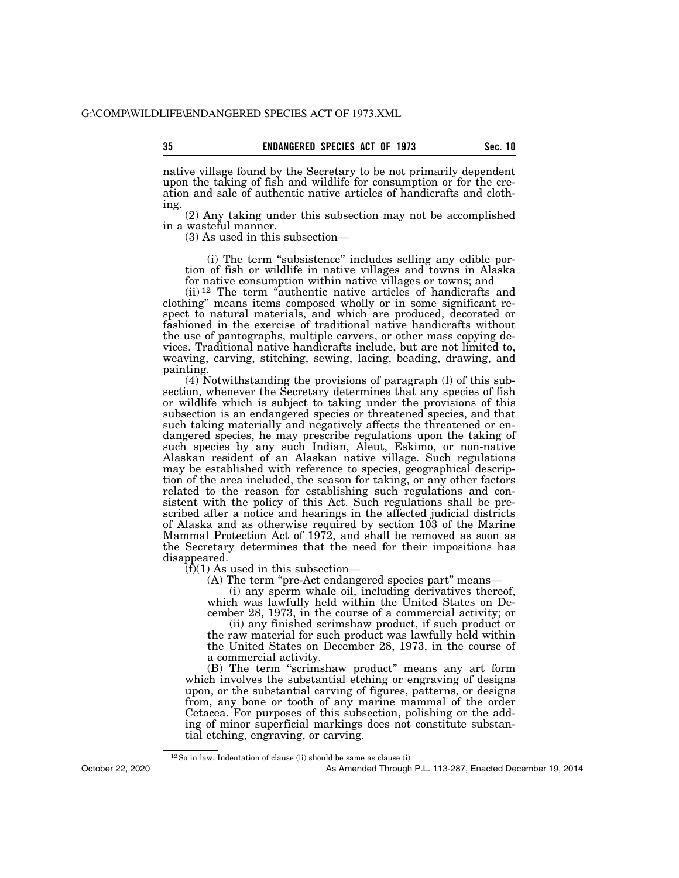native village found by the Secretary to be not primarily dependent upon the taking of fish and wildlife for consumption or for the creation and sale of authentic native articles of handicrafts and clothing.

(2) Any taking under this subsection may not be accomplished in a wasteful manner.

(3) As used in this subsection—

(i) The term ''subsistence'' includes selling any edible portion of fish or wildlife in native villages and towns in Alaska for native consumption within native villages or towns; and

(ii) 12 The term ''authentic native articles of handicrafts and clothing'' means items composed wholly or in some significant respect to natural materials, and which are produced, decorated or fashioned in the exercise of traditional native handicrafts without the use of pantographs, multiple carvers, or other mass copying devices. Traditional native handicrafts include, but are not limited to, weaving, carving, stitching, sewing, lacing, beading, drawing, and painting.

(4) Notwithstanding the provisions of paragraph (l) of this subsection, whenever the Secretary determines that any species of fish or wildlife which is subject to taking under the provisions of this subsection is an endangered species or threatened species, and that such taking materially and negatively affects the threatened or endangered species, he may prescribe regulations upon the taking of such species by any such Indian, Aleut, Eskimo, or non-native Alaskan resident of an Alaskan native village. Such regulations may be established with reference to species, geographical description of the area included, the season for taking, or any other factors related to the reason for establishing such regulations and consistent with the policy of this Act. Such regulations shall be prescribed after a notice and hearings in the affected judicial districts of Alaska and as otherwise required by section 103 of the Marine Mammal Protection Act of 1972, and shall be removed as soon as the Secretary determines that the need for their impositions has disappeared.

 $(f)(1)$  As used in this subsection—

(A) The term "pre-Act endangered species part" means-

(i) any sperm whale oil, including derivatives thereof, which was lawfully held within the United States on December 28, 1973, in the course of a commercial activity; or

(ii) any finished scrimshaw product, if such product or the raw material for such product was lawfully held within the United States on December 28, 1973, in the course of a commercial activity.

(B) The term ''scrimshaw product'' means any art form which involves the substantial etching or engraving of designs upon, or the substantial carving of figures, patterns, or designs from, any bone or tooth of any marine mammal of the order Cetacea. For purposes of this subsection, polishing or the adding of minor superficial markings does not constitute substantial etching, engraving, or carving.

12So in law. Indentation of clause (ii) should be same as clause (i).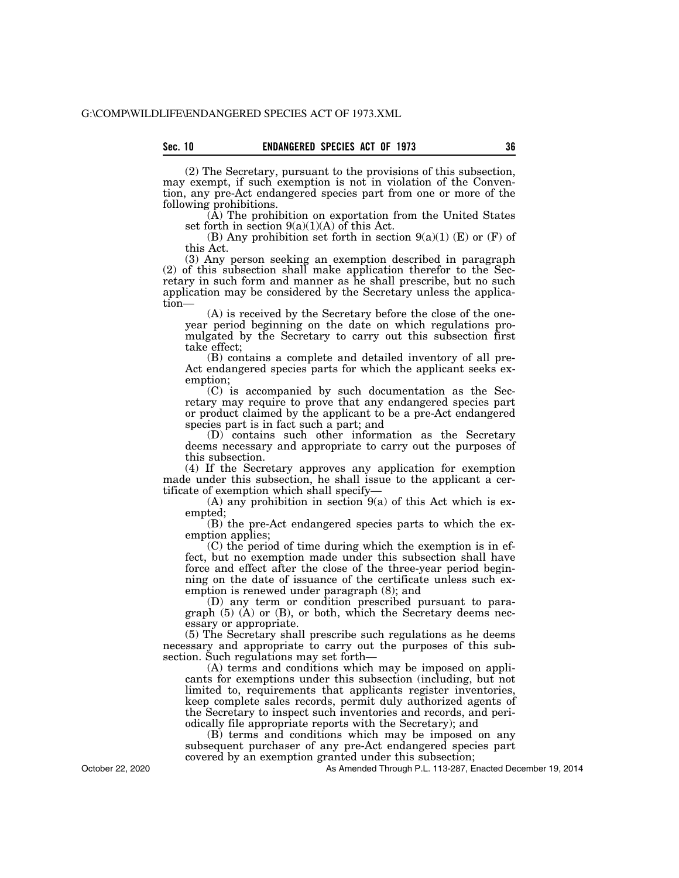(2) The Secretary, pursuant to the provisions of this subsection, may exempt, if such exemption is not in violation of the Convention, any pre-Act endangered species part from one or more of the following prohibitions.

(A) The prohibition on exportation from the United States set forth in section  $9(a)(1)(A)$  of this Act.

(B) Any prohibition set forth in section  $9(a)(1)$  (E) or (F) of this Act.

(3) Any person seeking an exemption described in paragraph (2) of this subsection shall make application therefor to the Secretary in such form and manner as he shall prescribe, but no such application may be considered by the Secretary unless the application—

(A) is received by the Secretary before the close of the oneyear period beginning on the date on which regulations promulgated by the Secretary to carry out this subsection first take effect;

(B) contains a complete and detailed inventory of all pre-Act endangered species parts for which the applicant seeks exemption;

(C) is accompanied by such documentation as the Secretary may require to prove that any endangered species part or product claimed by the applicant to be a pre-Act endangered species part is in fact such a part; and

(D) contains such other information as the Secretary deems necessary and appropriate to carry out the purposes of this subsection.

(4) If the Secretary approves any application for exemption made under this subsection, he shall issue to the applicant a certificate of exemption which shall specify—

(A) any prohibition in section  $9(a)$  of this Act which is exempted;

(B) the pre-Act endangered species parts to which the exemption applies;

(C) the period of time during which the exemption is in effect, but no exemption made under this subsection shall have force and effect after the close of the three-year period beginning on the date of issuance of the certificate unless such exemption is renewed under paragraph (8); and

(D) any term or condition prescribed pursuant to paragraph (5) (A) or (B), or both, which the Secretary deems necessary or appropriate.

(5) The Secretary shall prescribe such regulations as he deems necessary and appropriate to carry out the purposes of this subsection. Such regulations may set forth—

(A) terms and conditions which may be imposed on applicants for exemptions under this subsection (including, but not limited to, requirements that applicants register inventories, keep complete sales records, permit duly authorized agents of the Secretary to inspect such inventories and records, and periodically file appropriate reports with the Secretary); and

(B) terms and conditions which may be imposed on any subsequent purchaser of any pre-Act endangered species part covered by an exemption granted under this subsection;

As Amended Through P.L. 113-287, Enacted December 19, 2014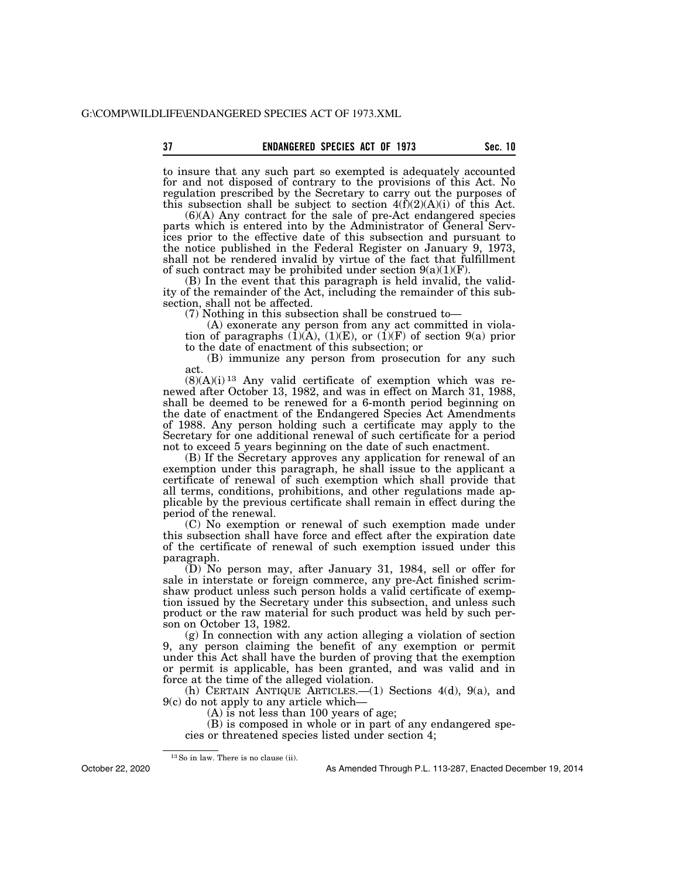to insure that any such part so exempted is adequately accounted for and not disposed of contrary to the provisions of this Act. No regulation prescribed by the Secretary to carry out the purposes of this subsection shall be subject to section  $4(f)(2)(A)(i)$  of this Act.

(6)(A) Any contract for the sale of pre-Act endangered species parts which is entered into by the Administrator of General Services prior to the effective date of this subsection and pursuant to the notice published in the Federal Register on January 9, 1973, shall not be rendered invalid by virtue of the fact that fulfillment of such contract may be prohibited under section  $9(a)(1)(F)$ .

(B) In the event that this paragraph is held invalid, the validity of the remainder of the Act, including the remainder of this subsection, shall not be affected.

(7) Nothing in this subsection shall be construed to—

(A) exonerate any person from any act committed in violation of paragraphs  $(1)(A)$ ,  $(1)(E)$ , or  $(1)(F)$  of section 9(a) prior to the date of enactment of this subsection; or

(B) immunize any person from prosecution for any such act.

 $(8)(A)(i)$ <sup>13</sup> Any valid certificate of exemption which was renewed after October 13, 1982, and was in effect on March 31, 1988, shall be deemed to be renewed for a 6-month period beginning on the date of enactment of the Endangered Species Act Amendments of 1988. Any person holding such a certificate may apply to the Secretary for one additional renewal of such certificate for a period not to exceed 5 years beginning on the date of such enactment.

(B) If the Secretary approves any application for renewal of an exemption under this paragraph, he shall issue to the applicant a certificate of renewal of such exemption which shall provide that all terms, conditions, prohibitions, and other regulations made applicable by the previous certificate shall remain in effect during the period of the renewal.

(C) No exemption or renewal of such exemption made under this subsection shall have force and effect after the expiration date of the certificate of renewal of such exemption issued under this paragraph.

(D) No person may, after January 31, 1984, sell or offer for sale in interstate or foreign commerce, any pre-Act finished scrimshaw product unless such person holds a valid certificate of exemption issued by the Secretary under this subsection, and unless such product or the raw material for such product was held by such person on October 13, 1982.

(g) In connection with any action alleging a violation of section 9, any person claiming the benefit of any exemption or permit under this Act shall have the burden of proving that the exemption or permit is applicable, has been granted, and was valid and in force at the time of the alleged violation.

(h) CERTAIN ANTIQUE ARTICLES.—(1) Sections 4(d), 9(a), and 9(c) do not apply to any article which—

(A) is not less than 100 years of age;

(B) is composed in whole or in part of any endangered species or threatened species listed under section 4;

As Amended Through P.L. 113-287, Enacted December 19, 2014

<sup>13</sup>So in law. There is no clause (ii).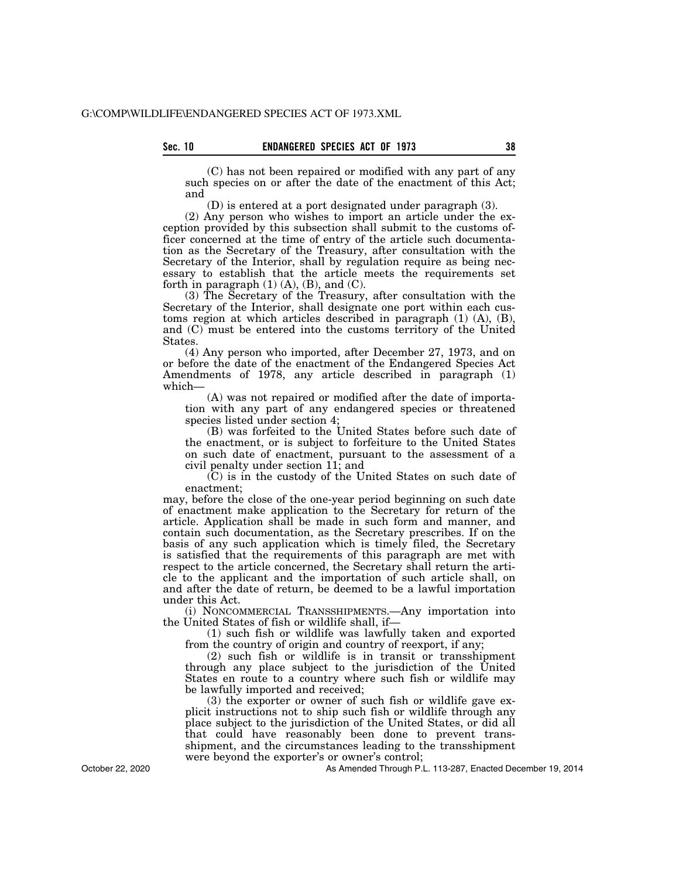(C) has not been repaired or modified with any part of any such species on or after the date of the enactment of this Act; and

(D) is entered at a port designated under paragraph (3).

(2) Any person who wishes to import an article under the exception provided by this subsection shall submit to the customs officer concerned at the time of entry of the article such documentation as the Secretary of the Treasury, after consultation with the Secretary of the Interior, shall by regulation require as being necessary to establish that the article meets the requirements set forth in paragraph  $(1)$   $(A)$ ,  $(B)$ , and  $(C)$ .

(3) The Secretary of the Treasury, after consultation with the Secretary of the Interior, shall designate one port within each customs region at which articles described in paragraph  $(1)$   $(A)$ ,  $(B)$ , and (C) must be entered into the customs territory of the United States.

(4) Any person who imported, after December 27, 1973, and on or before the date of the enactment of the Endangered Species Act Amendments of 1978, any article described in paragraph (1) which—

(A) was not repaired or modified after the date of importation with any part of any endangered species or threatened species listed under section 4;

(B) was forfeited to the United States before such date of the enactment, or is subject to forfeiture to the United States on such date of enactment, pursuant to the assessment of a civil penalty under section 11; and

(C) is in the custody of the United States on such date of enactment;

may, before the close of the one-year period beginning on such date of enactment make application to the Secretary for return of the article. Application shall be made in such form and manner, and contain such documentation, as the Secretary prescribes. If on the basis of any such application which is timely filed, the Secretary is satisfied that the requirements of this paragraph are met with respect to the article concerned, the Secretary shall return the article to the applicant and the importation of such article shall, on and after the date of return, be deemed to be a lawful importation under this Act.

(i) NONCOMMERCIAL TRANSSHIPMENTS.—Any importation into the United States of fish or wildlife shall, if—

(1) such fish or wildlife was lawfully taken and exported from the country of origin and country of reexport, if any;

(2) such fish or wildlife is in transit or transshipment through any place subject to the jurisdiction of the United States en route to a country where such fish or wildlife may be lawfully imported and received;

(3) the exporter or owner of such fish or wildlife gave explicit instructions not to ship such fish or wildlife through any place subject to the jurisdiction of the United States, or did all that could have reasonably been done to prevent transshipment, and the circumstances leading to the transshipment were beyond the exporter's or owner's control;

As Amended Through P.L. 113-287, Enacted December 19, 2014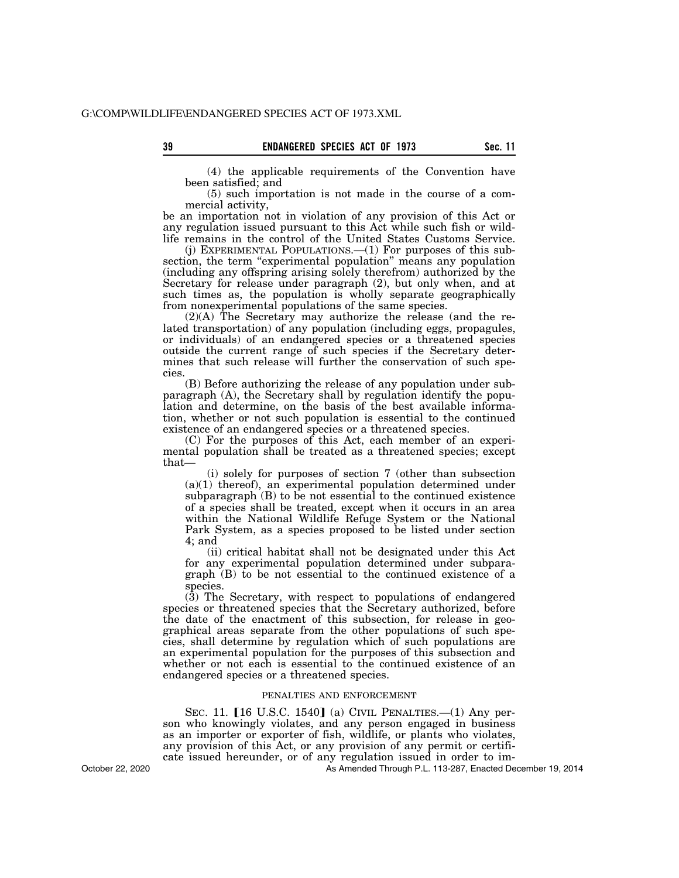(4) the applicable requirements of the Convention have been satisfied; and

(5) such importation is not made in the course of a commercial activity,

be an importation not in violation of any provision of this Act or any regulation issued pursuant to this Act while such fish or wildlife remains in the control of the United States Customs Service.

(j) EXPERIMENTAL POPULATIONS.—(1) For purposes of this subsection, the term "experimental population" means any population (including any offspring arising solely therefrom) authorized by the Secretary for release under paragraph (2), but only when, and at such times as, the population is wholly separate geographically from nonexperimental populations of the same species.

(2)(A) The Secretary may authorize the release (and the related transportation) of any population (including eggs, propagules, or individuals) of an endangered species or a threatened species outside the current range of such species if the Secretary determines that such release will further the conservation of such species.

(B) Before authorizing the release of any population under subparagraph (A), the Secretary shall by regulation identify the population and determine, on the basis of the best available information, whether or not such population is essential to the continued existence of an endangered species or a threatened species.

(C) For the purposes of this Act, each member of an experimental population shall be treated as a threatened species; except that—

(i) solely for purposes of section 7 (other than subsection (a)(1) thereof), an experimental population determined under subparagraph (B) to be not essential to the continued existence of a species shall be treated, except when it occurs in an area within the National Wildlife Refuge System or the National Park System, as a species proposed to be listed under section 4; and

(ii) critical habitat shall not be designated under this Act for any experimental population determined under subparagraph (B) to be not essential to the continued existence of a species.

(3) The Secretary, with respect to populations of endangered species or threatened species that the Secretary authorized, before the date of the enactment of this subsection, for release in geographical areas separate from the other populations of such species, shall determine by regulation which of such populations are an experimental population for the purposes of this subsection and whether or not each is essential to the continued existence of an endangered species or a threatened species.

## PENALTIES AND ENFORCEMENT

SEC. 11.  $[16 \text{ U.S.C. } 1540]$  (a) CIVIL PENALTIES.—(1) Any person who knowingly violates, and any person engaged in business as an importer or exporter of fish, wildlife, or plants who violates, any provision of this Act, or any provision of any permit or certificate issued hereunder, or of any regulation issued in order to im-

As Amended Through P.L. 113-287, Enacted December 19, 2014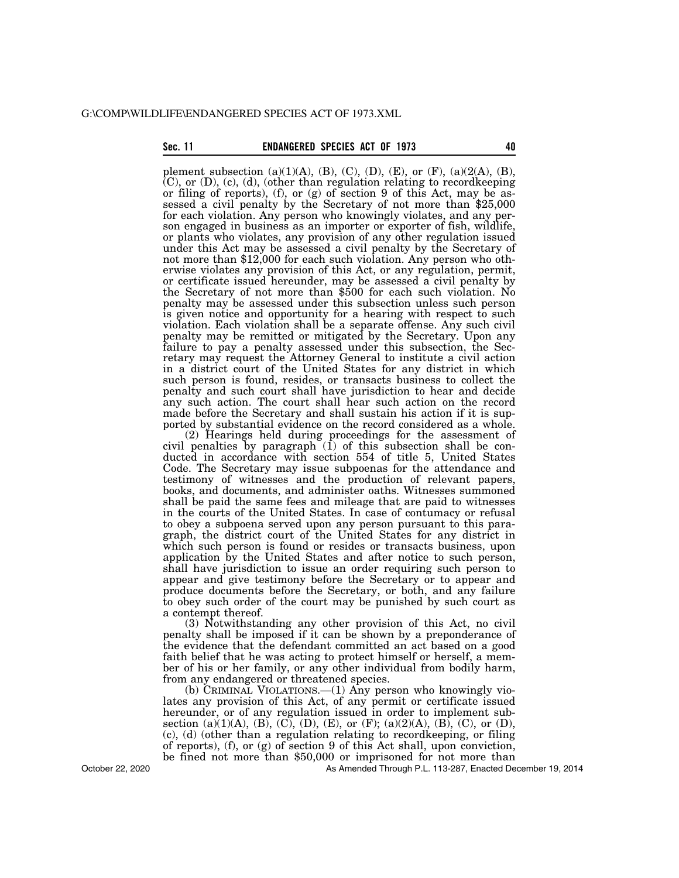## **Sec. 11 ENDANGERED SPECIES ACT OF 1973 40**

plement subsection  $(a)(1)(A)$ ,  $(B)$ ,  $(C)$ ,  $(D)$ ,  $(E)$ , or  $(F)$ ,  $(a)(2(A), (B))$ ,  $(C)$ , or  $(D)$ ,  $(c)$ ,  $(d)$ , (other than regulation relating to record keeping or filing of reports), (f), or (g) of section 9 of this Act, may be assessed a civil penalty by the Secretary of not more than \$25,000 for each violation. Any person who knowingly violates, and any person engaged in business as an importer or exporter of fish, wildlife, or plants who violates, any provision of any other regulation issued under this Act may be assessed a civil penalty by the Secretary of not more than \$12,000 for each such violation. Any person who otherwise violates any provision of this Act, or any regulation, permit, or certificate issued hereunder, may be assessed a civil penalty by the Secretary of not more than \$500 for each such violation. No penalty may be assessed under this subsection unless such person is given notice and opportunity for a hearing with respect to such violation. Each violation shall be a separate offense. Any such civil penalty may be remitted or mitigated by the Secretary. Upon any failure to pay a penalty assessed under this subsection, the Secretary may request the Attorney General to institute a civil action in a district court of the United States for any district in which such person is found, resides, or transacts business to collect the penalty and such court shall have jurisdiction to hear and decide any such action. The court shall hear such action on the record made before the Secretary and shall sustain his action if it is supported by substantial evidence on the record considered as a whole.

(2) Hearings held during proceedings for the assessment of civil penalties by paragraph  $(I)$  of this subsection shall be conducted in accordance with section 554 of title 5, United States Code. The Secretary may issue subpoenas for the attendance and testimony of witnesses and the production of relevant papers, books, and documents, and administer oaths. Witnesses summoned shall be paid the same fees and mileage that are paid to witnesses in the courts of the United States. In case of contumacy or refusal to obey a subpoena served upon any person pursuant to this paragraph, the district court of the United States for any district in which such person is found or resides or transacts business, upon application by the United States and after notice to such person, shall have jurisdiction to issue an order requiring such person to appear and give testimony before the Secretary or to appear and produce documents before the Secretary, or both, and any failure to obey such order of the court may be punished by such court as a contempt thereof.

(3) Notwithstanding any other provision of this Act, no civil penalty shall be imposed if it can be shown by a preponderance of the evidence that the defendant committed an act based on a good faith belief that he was acting to protect himself or herself, a member of his or her family, or any other individual from bodily harm, from any endangered or threatened species.

(b) CRIMINAL VIOLATIONS.—(1) Any person who knowingly violates any provision of this Act, of any permit or certificate issued hereunder, or of any regulation issued in order to implement subsection (a)(1)(A), (B), (C), (D), (E), or (F); (a)(2)(A), (B), (C), or (D), (c), (d) (other than a regulation relating to recordkeeping, or filing of reports), (f), or  $(g)$  of section 9 of this Act shall, upon conviction, be fined not more than \$50,000 or imprisoned for not more than

As Amended Through P.L. 113-287, Enacted December 19, 2014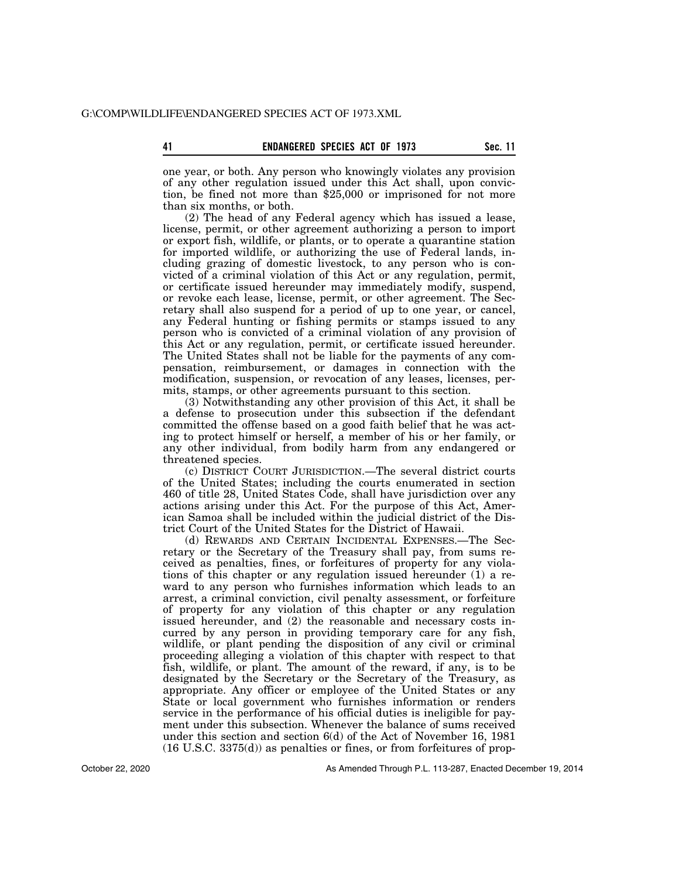one year, or both. Any person who knowingly violates any provision of any other regulation issued under this Act shall, upon conviction, be fined not more than \$25,000 or imprisoned for not more than six months, or both.

(2) The head of any Federal agency which has issued a lease, license, permit, or other agreement authorizing a person to import or export fish, wildlife, or plants, or to operate a quarantine station for imported wildlife, or authorizing the use of Federal lands, including grazing of domestic livestock, to any person who is convicted of a criminal violation of this Act or any regulation, permit, or certificate issued hereunder may immediately modify, suspend, or revoke each lease, license, permit, or other agreement. The Secretary shall also suspend for a period of up to one year, or cancel, any Federal hunting or fishing permits or stamps issued to any person who is convicted of a criminal violation of any provision of this Act or any regulation, permit, or certificate issued hereunder. The United States shall not be liable for the payments of any compensation, reimbursement, or damages in connection with the modification, suspension, or revocation of any leases, licenses, permits, stamps, or other agreements pursuant to this section.

(3) Notwithstanding any other provision of this Act, it shall be a defense to prosecution under this subsection if the defendant committed the offense based on a good faith belief that he was acting to protect himself or herself, a member of his or her family, or any other individual, from bodily harm from any endangered or threatened species.

(c) DISTRICT COURT JURISDICTION.—The several district courts of the United States; including the courts enumerated in section 460 of title 28, United States Code, shall have jurisdiction over any actions arising under this Act. For the purpose of this Act, American Samoa shall be included within the judicial district of the District Court of the United States for the District of Hawaii.

(d) REWARDS AND CERTAIN INCIDENTAL EXPENSES.—The Secretary or the Secretary of the Treasury shall pay, from sums received as penalties, fines, or forfeitures of property for any violations of this chapter or any regulation issued hereunder (1) a reward to any person who furnishes information which leads to an arrest, a criminal conviction, civil penalty assessment, or forfeiture of property for any violation of this chapter or any regulation issued hereunder, and (2) the reasonable and necessary costs incurred by any person in providing temporary care for any fish, wildlife, or plant pending the disposition of any civil or criminal proceeding alleging a violation of this chapter with respect to that fish, wildlife, or plant. The amount of the reward, if any, is to be designated by the Secretary or the Secretary of the Treasury, as appropriate. Any officer or employee of the United States or any State or local government who furnishes information or renders service in the performance of his official duties is ineligible for payment under this subsection. Whenever the balance of sums received under this section and section 6(d) of the Act of November 16, 1981 (16 U.S.C. 3375(d)) as penalties or fines, or from forfeitures of prop-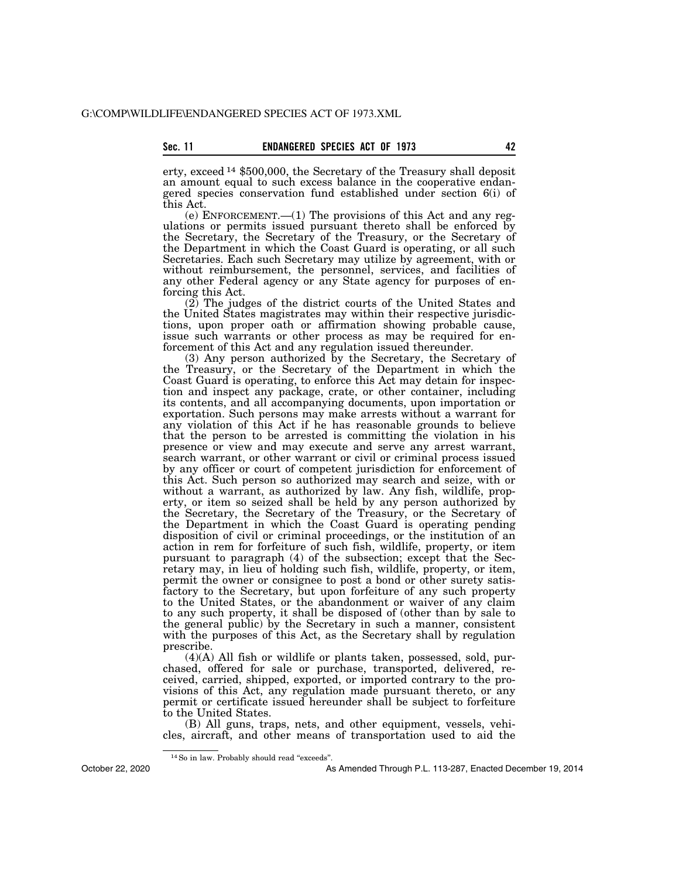erty, exceed 14 \$500,000, the Secretary of the Treasury shall deposit an amount equal to such excess balance in the cooperative endangered species conservation fund established under section 6(i) of this Act.

(e) ENFORCEMENT.—(1) The provisions of this Act and any regulations or permits issued pursuant thereto shall be enforced by the Secretary, the Secretary of the Treasury, or the Secretary of the Department in which the Coast Guard is operating, or all such Secretaries. Each such Secretary may utilize by agreement, with or without reimbursement, the personnel, services, and facilities of any other Federal agency or any State agency for purposes of enforcing this Act.

(2) The judges of the district courts of the United States and the United States magistrates may within their respective jurisdictions, upon proper oath or affirmation showing probable cause, issue such warrants or other process as may be required for enforcement of this Act and any regulation issued thereunder.

(3) Any person authorized by the Secretary, the Secretary of the Treasury, or the Secretary of the Department in which the Coast Guard is operating, to enforce this Act may detain for inspection and inspect any package, crate, or other container, including its contents, and all accompanying documents, upon importation or exportation. Such persons may make arrests without a warrant for any violation of this Act if he has reasonable grounds to believe that the person to be arrested is committing the violation in his presence or view and may execute and serve any arrest warrant, search warrant, or other warrant or civil or criminal process issued by any officer or court of competent jurisdiction for enforcement of this Act. Such person so authorized may search and seize, with or without a warrant, as authorized by law. Any fish, wildlife, property, or item so seized shall be held by any person authorized by the Secretary, the Secretary of the Treasury, or the Secretary of the Department in which the Coast Guard is operating pending disposition of civil or criminal proceedings, or the institution of an action in rem for forfeiture of such fish, wildlife, property, or item pursuant to paragraph (4) of the subsection; except that the Secretary may, in lieu of holding such fish, wildlife, property, or item, permit the owner or consignee to post a bond or other surety satisfactory to the Secretary, but upon forfeiture of any such property to the United States, or the abandonment or waiver of any claim to any such property, it shall be disposed of (other than by sale to the general public) by the Secretary in such a manner, consistent with the purposes of this Act, as the Secretary shall by regulation prescribe.

(4)(A) All fish or wildlife or plants taken, possessed, sold, purchased, offered for sale or purchase, transported, delivered, received, carried, shipped, exported, or imported contrary to the provisions of this Act, any regulation made pursuant thereto, or any permit or certificate issued hereunder shall be subject to forfeiture to the United States.

(B) All guns, traps, nets, and other equipment, vessels, vehicles, aircraft, and other means of transportation used to aid the

<sup>14</sup>So in law. Probably should read ''exceeds''.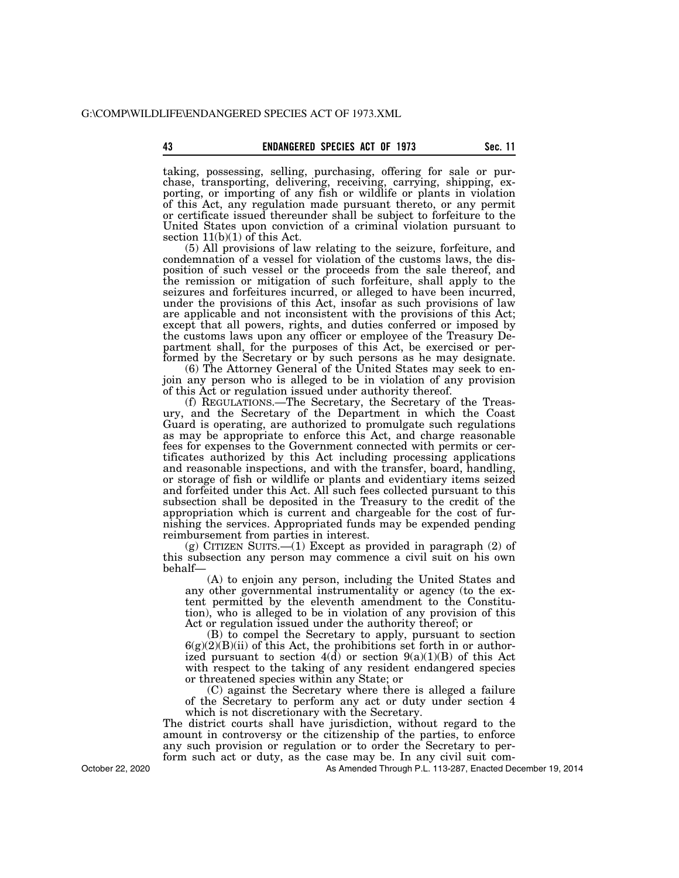taking, possessing, selling, purchasing, offering for sale or purchase, transporting, delivering, receiving, carrying, shipping, exporting, or importing of any fish or wildlife or plants in violation of this Act, any regulation made pursuant thereto, or any permit or certificate issued thereunder shall be subject to forfeiture to the United States upon conviction of a criminal violation pursuant to section  $11(b)(1)$  of this Act.

(5) All provisions of law relating to the seizure, forfeiture, and condemnation of a vessel for violation of the customs laws, the disposition of such vessel or the proceeds from the sale thereof, and the remission or mitigation of such forfeiture, shall apply to the seizures and forfeitures incurred, or alleged to have been incurred, under the provisions of this Act, insofar as such provisions of law are applicable and not inconsistent with the provisions of this Act; except that all powers, rights, and duties conferred or imposed by the customs laws upon any officer or employee of the Treasury Department shall, for the purposes of this Act, be exercised or performed by the Secretary or by such persons as he may designate.

(6) The Attorney General of the United States may seek to enjoin any person who is alleged to be in violation of any provision of this Act or regulation issued under authority thereof.

(f) REGULATIONS.—The Secretary, the Secretary of the Treasury, and the Secretary of the Department in which the Coast Guard is operating, are authorized to promulgate such regulations as may be appropriate to enforce this Act, and charge reasonable fees for expenses to the Government connected with permits or certificates authorized by this Act including processing applications and reasonable inspections, and with the transfer, board, handling, or storage of fish or wildlife or plants and evidentiary items seized and forfeited under this Act. All such fees collected pursuant to this subsection shall be deposited in the Treasury to the credit of the appropriation which is current and chargeable for the cost of furnishing the services. Appropriated funds may be expended pending reimbursement from parties in interest.

(g) CITIZEN SUITS.—(1) Except as provided in paragraph  $(2)$  of this subsection any person may commence a civil suit on his own behalf—

(A) to enjoin any person, including the United States and any other governmental instrumentality or agency (to the extent permitted by the eleventh amendment to the Constitution), who is alleged to be in violation of any provision of this Act or regulation issued under the authority thereof; or

(B) to compel the Secretary to apply, pursuant to section  $6(g)(2)(B)(ii)$  of this Act, the prohibitions set forth in or authorized pursuant to section  $4(d)$  or section  $9(a)(1)(B)$  of this Act with respect to the taking of any resident endangered species or threatened species within any State; or

(C) against the Secretary where there is alleged a failure of the Secretary to perform any act or duty under section 4 which is not discretionary with the Secretary.

The district courts shall have jurisdiction, without regard to the amount in controversy or the citizenship of the parties, to enforce any such provision or regulation or to order the Secretary to perform such act or duty, as the case may be. In any civil suit com-

As Amended Through P.L. 113-287, Enacted December 19, 2014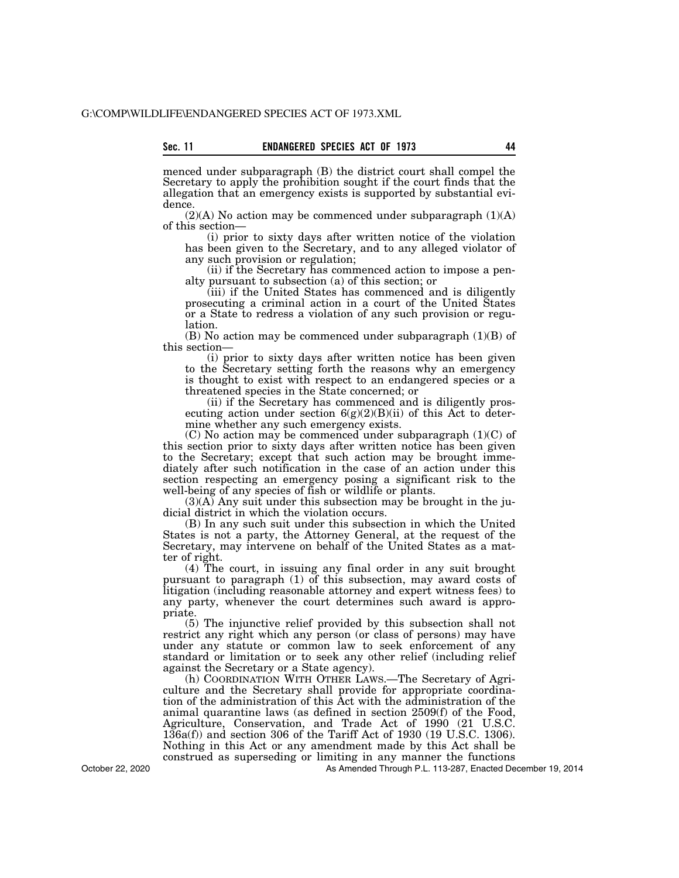menced under subparagraph (B) the district court shall compel the Secretary to apply the prohibition sought if the court finds that the allegation that an emergency exists is supported by substantial evidence.

 $(2)(A)$  No action may be commenced under subparagraph  $(1)(A)$ of this section—

(i) prior to sixty days after written notice of the violation has been given to the Secretary, and to any alleged violator of any such provision or regulation;

(ii) if the Secretary has commenced action to impose a penalty pursuant to subsection (a) of this section; or

(iii) if the United States has commenced and is diligently prosecuting a criminal action in a court of the United States or a State to redress a violation of any such provision or regulation.

(B) No action may be commenced under subparagraph (1)(B) of this section—

(i) prior to sixty days after written notice has been given to the Secretary setting forth the reasons why an emergency is thought to exist with respect to an endangered species or a threatened species in the State concerned; or

(ii) if the Secretary has commenced and is diligently prosecuting action under section  $6(g)(2)(B)(ii)$  of this Act to determine whether any such emergency exists.

 $(C)$  No action may be commenced under subparagraph  $(1)(C)$  of this section prior to sixty days after written notice has been given to the Secretary; except that such action may be brought immediately after such notification in the case of an action under this section respecting an emergency posing a significant risk to the well-being of any species of fish or wildlife or plants.

 $(3)(A)$  Any suit under this subsection may be brought in the judicial district in which the violation occurs.

(B) In any such suit under this subsection in which the United States is not a party, the Attorney General, at the request of the Secretary, may intervene on behalf of the United States as a matter of right.

(4) The court, in issuing any final order in any suit brought pursuant to paragraph (1) of this subsection, may award costs of litigation (including reasonable attorney and expert witness fees) to any party, whenever the court determines such award is appropriate.

(5) The injunctive relief provided by this subsection shall not restrict any right which any person (or class of persons) may have under any statute or common law to seek enforcement of any standard or limitation or to seek any other relief (including relief against the Secretary or a State agency).

(h) COORDINATION WITH OTHER LAWS.—The Secretary of Agriculture and the Secretary shall provide for appropriate coordination of the administration of this Act with the administration of the animal quarantine laws (as defined in section 2509(f) of the Food, Agriculture, Conservation, and Trade Act of 1990 (21 U.S.C. 136a(f)) and section 306 of the Tariff Act of 1930 (19 U.S.C. 1306). Nothing in this Act or any amendment made by this Act shall be construed as superseding or limiting in any manner the functions

As Amended Through P.L. 113-287, Enacted December 19, 2014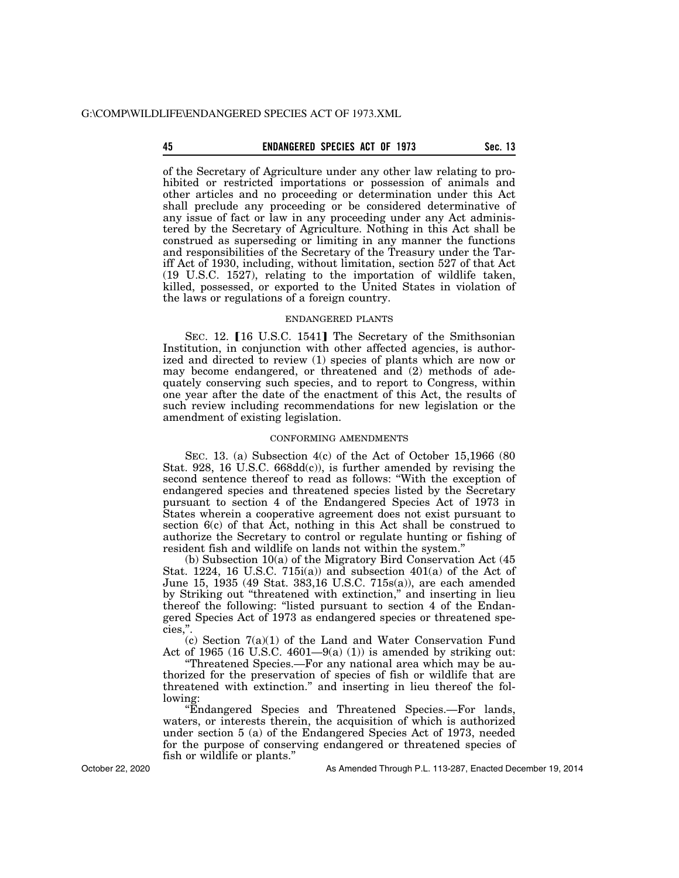# **45 Sec. 13 ENDANGERED SPECIES ACT OF 1973**

of the Secretary of Agriculture under any other law relating to prohibited or restricted importations or possession of animals and other articles and no proceeding or determination under this Act shall preclude any proceeding or be considered determinative of any issue of fact or law in any proceeding under any Act administered by the Secretary of Agriculture. Nothing in this Act shall be construed as superseding or limiting in any manner the functions and responsibilities of the Secretary of the Treasury under the Tariff Act of 1930, including, without limitation, section 527 of that Act (19 U.S.C. 1527), relating to the importation of wildlife taken, killed, possessed, or exported to the United States in violation of the laws or regulations of a foreign country.

# ENDANGERED PLANTS

SEC. 12. [16 U.S.C. 1541] The Secretary of the Smithsonian Institution, in conjunction with other affected agencies, is authorized and directed to review (1) species of plants which are now or may become endangered, or threatened and (2) methods of adequately conserving such species, and to report to Congress, within one year after the date of the enactment of this Act, the results of such review including recommendations for new legislation or the amendment of existing legislation.

### CONFORMING AMENDMENTS

SEC. 13. (a) Subsection 4(c) of the Act of October 15,1966 (80 Stat. 928, 16 U.S.C. 668dd(c)), is further amended by revising the second sentence thereof to read as follows: ''With the exception of endangered species and threatened species listed by the Secretary pursuant to section 4 of the Endangered Species Act of 1973 in States wherein a cooperative agreement does not exist pursuant to section 6(c) of that Act, nothing in this Act shall be construed to authorize the Secretary to control or regulate hunting or fishing of resident fish and wildlife on lands not within the system.''

(b) Subsection 10(a) of the Migratory Bird Conservation Act (45 Stat. 1224, 16 U.S.C. 715i(a)) and subsection 401(a) of the Act of June 15, 1935 (49 Stat. 383,16 U.S.C. 715s(a)), are each amended by Striking out ''threatened with extinction,'' and inserting in lieu thereof the following: ''listed pursuant to section 4 of the Endangered Species Act of 1973 as endangered species or threatened species,''.

(c) Section 7(a)(1) of the Land and Water Conservation Fund Act of 1965 (16 U.S.C. 4601—9(a) (1)) is amended by striking out:

''Threatened Species.—For any national area which may be authorized for the preservation of species of fish or wildlife that are threatened with extinction.'' and inserting in lieu thereof the following:

''Endangered Species and Threatened Species.—For lands, waters, or interests therein, the acquisition of which is authorized under section 5 (a) of the Endangered Species Act of 1973, needed for the purpose of conserving endangered or threatened species of fish or wildlife or plants.''

October 22, 2020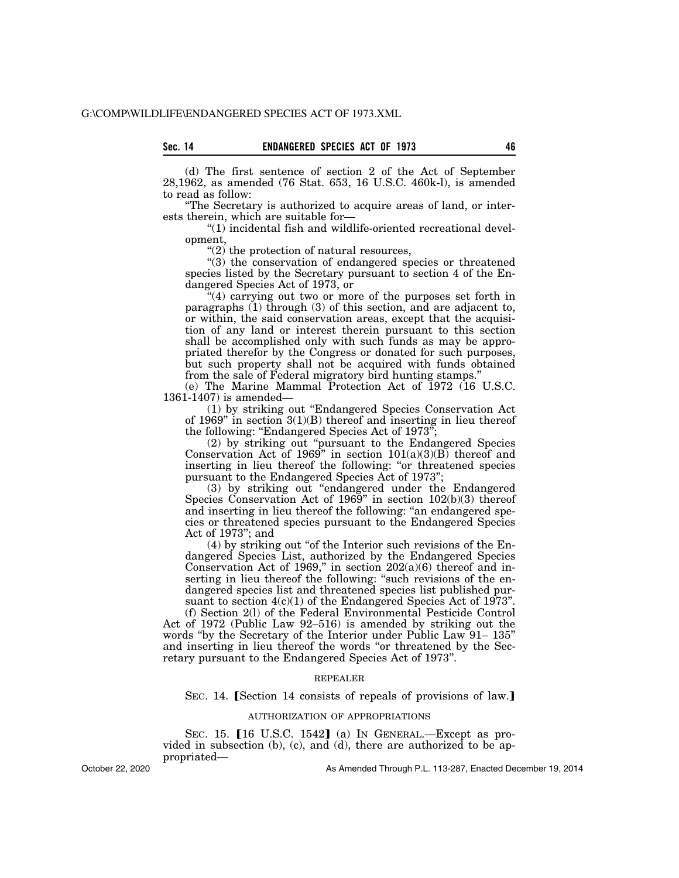(d) The first sentence of section 2 of the Act of September 28,1962, as amended (76 Stat. 653, 16 U.S.C. 460k-l), is amended to read as follow:

''The Secretary is authorized to acquire areas of land, or interests therein, which are suitable for—

 $"(1)$  incidental fish and wildlife-oriented recreational development,

''(2) the protection of natural resources,

''(3) the conservation of endangered species or threatened species listed by the Secretary pursuant to section 4 of the Endangered Species Act of 1973, or

''(4) carrying out two or more of the purposes set forth in paragraphs (1) through (3) of this section, and are adjacent to, or within, the said conservation areas, except that the acquisition of any land or interest therein pursuant to this section shall be accomplished only with such funds as may be appropriated therefor by the Congress or donated for such purposes, but such property shall not be acquired with funds obtained from the sale of Federal migratory bird hunting stamps.''

(e) The Marine Mammal Protection Act of 1972 (16 U.S.C. 1361-1407) is amended—

(1) by striking out ''Endangered Species Conservation Act of 1969'' in section 3(1)(B) thereof and inserting in lieu thereof the following: ''Endangered Species Act of 1973'';

(2) by striking out ''pursuant to the Endangered Species Conservation Act of 1969" in section  $101(a)(3)(B)$  thereof and inserting in lieu thereof the following: ''or threatened species pursuant to the Endangered Species Act of 1973'';

(3) by striking out ''endangered under the Endangered Species Conservation Act of 1969" in section 102(b)(3) thereof and inserting in lieu thereof the following: ''an endangered species or threatened species pursuant to the Endangered Species Act of 1973''; and

(4) by striking out ''of the Interior such revisions of the Endangered Species List, authorized by the Endangered Species Conservation Act of 1969," in section  $202(a)(6)$  thereof and inserting in lieu thereof the following: "such revisions of the endangered species list and threatened species list published pursuant to section 4(c)(1) of the Endangered Species Act of 1973''.

(f) Section 2(l) of the Federal Environmental Pesticide Control Act of 1972 (Public Law 92–516) is amended by striking out the words "by the Secretary of the Interior under Public Law 91–135" and inserting in lieu thereof the words "or threatened by the Secretary pursuant to the Endangered Species Act of 1973''.

## REPEALER

SEC. 14. [Section 14 consists of repeals of provisions of law.]

### AUTHORIZATION OF APPROPRIATIONS

SEC. 15.  $[16 \text{ U.S.C. } 1542]$  (a) In GENERAL.—Except as provided in subsection (b), (c), and (d), there are authorized to be appropriated—

October 22, 2020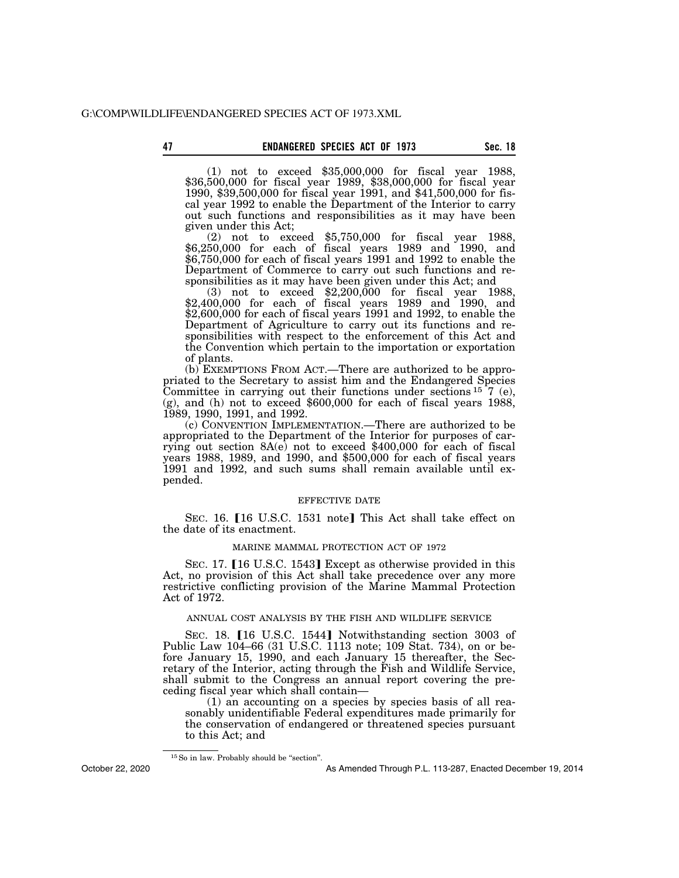(1) not to exceed \$35,000,000 for fiscal year 1988, \$36,500,000 for fiscal year 1989, \$38,000,000 for fiscal year 1990, \$39,500,000 for fiscal year 1991, and \$41,500,000 for fiscal year 1992 to enable the Department of the Interior to carry out such functions and responsibilities as it may have been given under this Act;

 $g(2)$  not to exceed \$5,750,000 for fiscal year 1988,  $$6,250,000$  for each of fiscal years 1989 and 1990, and \$6,750,000 for each of fiscal years 1991 and 1992 to enable the Department of Commerce to carry out such functions and re-

sponsibilities as it may have been given under this Act; and (3) not to exceed \$2,200,000 for fiscal year 1988, \$2,400,000 for each of fiscal years 1989 and 1990, and \$2,600,000 for each of fiscal years 1991 and 1992, to enable the Department of Agriculture to carry out its functions and responsibilities with respect to the enforcement of this Act and the Convention which pertain to the importation or exportation of plants.

(b) EXEMPTIONS FROM ACT.—There are authorized to be appropriated to the Secretary to assist him and the Endangered Species Committee in carrying out their functions under sections  $157$  (e), (g), and (h) not to exceed \$600,000 for each of fiscal years 1988, 1989, 1990, 1991, and 1992.

(c) CONVENTION IMPLEMENTATION.—There are authorized to be appropriated to the Department of the Interior for purposes of carrying out section 8A(e) not to exceed \$400,000 for each of fiscal years 1988, 1989, and 1990, and \$500,000 for each of fiscal years 1991 and 1992, and such sums shall remain available until expended.

## EFFECTIVE DATE

SEC. 16. [16 U.S.C. 1531 note] This Act shall take effect on the date of its enactment.

## MARINE MAMMAL PROTECTION ACT OF 1972

SEC. 17. [16 U.S.C. 1543] Except as otherwise provided in this Act, no provision of this Act shall take precedence over any more restrictive conflicting provision of the Marine Mammal Protection Act of 1972.

## ANNUAL COST ANALYSIS BY THE FISH AND WILDLIFE SERVICE

SEC. 18. [16 U.S.C. 1544] Notwithstanding section 3003 of Public Law 104–66 (31 U.S.C. 1113 note; 109 Stat. 734), on or before January 15, 1990, and each January 15 thereafter, the Secretary of the Interior, acting through the Fish and Wildlife Service, shall submit to the Congress an annual report covering the preceding fiscal year which shall contain—

(1) an accounting on a species by species basis of all reasonably unidentifiable Federal expenditures made primarily for the conservation of endangered or threatened species pursuant to this Act; and

<sup>15</sup>So in law. Probably should be ''section''.